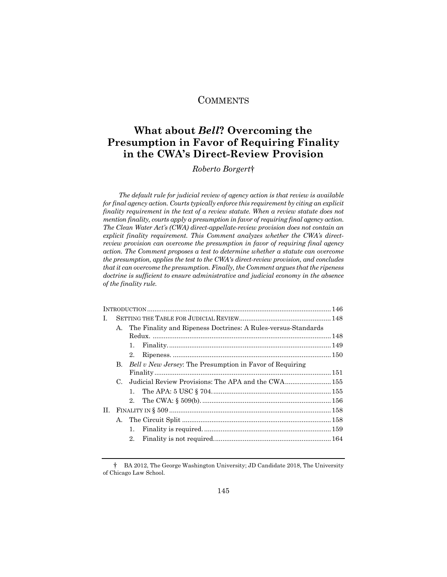# **COMMENTS**

# **What about** *Bell***? Overcoming the Presumption in Favor of Requiring Finality in the CWA's Direct-Review Provision**

*Roberto Borgert*†

*The default rule for judicial review of agency action is that review is available for final agency action. Courts typically enforce this requirement by citing an explicit finality requirement in the text of a review statute. When a review statute does not mention finality, courts apply a presumption in favor of requiring final agency action. The Clean Water Act's (CWA) direct-appellate-review provision does not contain an explicit finality requirement. This Comment analyzes whether the CWA's directreview provision can overcome the presumption in favor of requiring final agency action. The Comment proposes a test to determine whether a statute can overcome the presumption, applies the test to the CWA's direct-review provision, and concludes that it can overcome the presumption. Finally, the Comment argues that the ripeness doctrine is sufficient to ensure administrative and judicial economy in the absence of the finality rule.* 

| L. |             |                                                                  |                                                                 |  |  |
|----|-------------|------------------------------------------------------------------|-----------------------------------------------------------------|--|--|
|    |             | A. The Finality and Ripeness Doctrines: A Rules-versus-Standards |                                                                 |  |  |
|    |             |                                                                  |                                                                 |  |  |
|    |             | 1.                                                               |                                                                 |  |  |
|    |             | 2.                                                               |                                                                 |  |  |
|    | B.          |                                                                  | <i>Bell v New Jersey:</i> The Presumption in Favor of Requiring |  |  |
|    |             |                                                                  |                                                                 |  |  |
|    | $C_{\cdot}$ |                                                                  | Judicial Review Provisions: The APA and the CWA 155             |  |  |
|    |             |                                                                  |                                                                 |  |  |
|    |             |                                                                  |                                                                 |  |  |
| H. |             |                                                                  |                                                                 |  |  |
|    |             |                                                                  |                                                                 |  |  |
|    |             | 1.                                                               |                                                                 |  |  |
|    |             | $2_{-}$                                                          |                                                                 |  |  |
|    |             |                                                                  |                                                                 |  |  |

<sup>†</sup> BA 2012, The George Washington University; JD Candidate 2018, The University of Chicago Law School.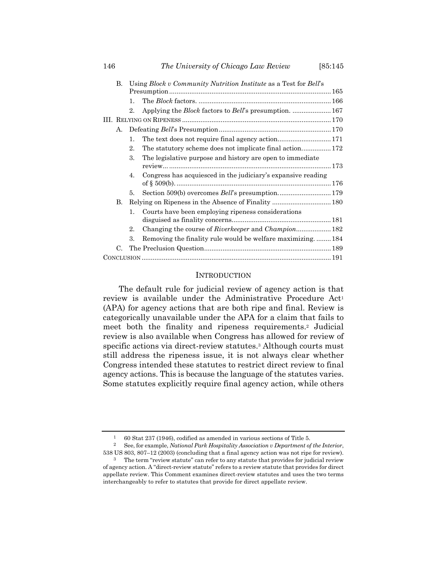| 146 |    |                                                                  | [85:145]                                                              |  |  |  |  |
|-----|----|------------------------------------------------------------------|-----------------------------------------------------------------------|--|--|--|--|
|     | В. | Using Block v Community Nutrition Institute as a Test for Bell's |                                                                       |  |  |  |  |
|     |    |                                                                  |                                                                       |  |  |  |  |
|     |    | 1.                                                               |                                                                       |  |  |  |  |
|     |    | 2.                                                               | Applying the <i>Block</i> factors to <i>Bell</i> 's presumption.  167 |  |  |  |  |
|     |    |                                                                  |                                                                       |  |  |  |  |
|     |    |                                                                  |                                                                       |  |  |  |  |
|     |    | 1.                                                               |                                                                       |  |  |  |  |
|     |    | 2.                                                               |                                                                       |  |  |  |  |
|     |    | 3.                                                               | The legislative purpose and history are open to immediate             |  |  |  |  |
|     |    |                                                                  |                                                                       |  |  |  |  |
|     |    | 4.                                                               | Congress has acquiesced in the judiciary's expansive reading          |  |  |  |  |
|     |    |                                                                  |                                                                       |  |  |  |  |
|     |    | 5.                                                               | Section 509(b) overcomes Bell's presumption 179                       |  |  |  |  |
|     | В. |                                                                  |                                                                       |  |  |  |  |
|     |    | 1.                                                               | Courts have been employing ripeness considerations                    |  |  |  |  |
|     |    |                                                                  |                                                                       |  |  |  |  |
|     |    | 2.                                                               | Changing the course of Riverkeeper and Champion 182                   |  |  |  |  |
|     |    | 3.                                                               | Removing the finality rule would be welfare maximizing184             |  |  |  |  |

#### **INTRODUCTION**

C. The Preclusion Question ..................................................................... 189 CONCLUSION ....................................................................................................... 191

The default rule for judicial review of agency action is that review is available under the Administrative Procedure Act<sup>1</sup> (APA) for agency actions that are both ripe and final. Review is categorically unavailable under the APA for a claim that fails to meet both the finality and ripeness requirements.2 Judicial review is also available when Congress has allowed for review of specific actions via direct-review statutes.<sup>3</sup> Although courts must still address the ripeness issue, it is not always clear whether Congress intended these statutes to restrict direct review to final agency actions. This is because the language of the statutes varies. Some statutes explicitly require final agency action, while others

<sup>1 60</sup> Stat 237 (1946), codified as amended in various sections of Title 5. 2 See, for example, *National Park Hospitality Association v Department of the Interior*, 538 US 803, 807–12 (2003) (concluding that a final agency action was not ripe for review).

<sup>&</sup>lt;sup>3</sup> The term "review statute" can refer to any statute that provides for judicial review of agency action. A "direct-review statute" refers to a review statute that provides for direct appellate review. This Comment examines direct-review statutes and uses the two terms interchangeably to refer to statutes that provide for direct appellate review.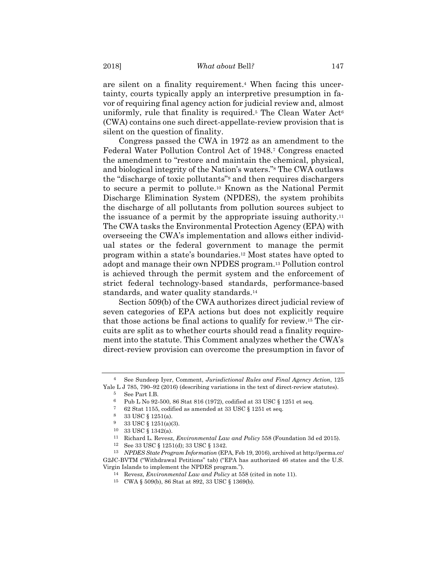are silent on a finality requirement.4 When facing this uncertainty, courts typically apply an interpretive presumption in favor of requiring final agency action for judicial review and, almost uniformly, rule that finality is required.<sup>5</sup> The Clean Water  $Act^6$ (CWA) contains one such direct-appellate-review provision that is silent on the question of finality.

Congress passed the CWA in 1972 as an amendment to the Federal Water Pollution Control Act of 1948.7 Congress enacted the amendment to "restore and maintain the chemical, physical, and biological integrity of the Nation's waters."8 The CWA outlaws the "discharge of toxic pollutants"9 and then requires dischargers to secure a permit to pollute.10 Known as the National Permit Discharge Elimination System (NPDES), the system prohibits the discharge of all pollutants from pollution sources subject to the issuance of a permit by the appropriate issuing authority.11 The CWA tasks the Environmental Protection Agency (EPA) with overseeing the CWA's implementation and allows either individual states or the federal government to manage the permit program within a state's boundaries.12 Most states have opted to adopt and manage their own NPDES program.13 Pollution control is achieved through the permit system and the enforcement of strict federal technology-based standards, performance-based standards, and water quality standards.<sup>14</sup>

Section 509(b) of the CWA authorizes direct judicial review of seven categories of EPA actions but does not explicitly require that those actions be final actions to qualify for review.15 The circuits are split as to whether courts should read a finality requirement into the statute. This Comment analyzes whether the CWA's direct-review provision can overcome the presumption in favor of

<sup>4</sup> See Sundeep Iyer, Comment, *Jurisdictional Rules and Final Agency Action*, 125 Yale L J 785, 790–92 (2016) (describing variations in the text of direct-review statutes).

<sup>5</sup> See Part I.B.

<sup>6</sup> Pub L No 92-500, 86 Stat 816 (1972), codified at 33 USC § 1251 et seq.

<sup>7 62</sup> Stat 1155, codified as amended at 33 USC § 1251 et seq.<br>8 33 USC § 1251 (a)

<sup>8 33</sup> USC § 1251(a).

<sup>9 33</sup> USC § 1251(a)(3).

<sup>10 33</sup> USC § 1342(a).

<sup>11</sup> Richard L. Revesz, *Environmental Law and Policy* 558 (Foundation 3d ed 2015). 12 See 33 USC § 1251(d); 33 USC § 1342.

<sup>13</sup> *NPDES State Program Information* (EPA, Feb 19, 2016), archived at http://perma.cc/ G2JC-BVTM ("Withdrawal Petitions" tab) ("EPA has authorized 46 states and the U.S. Virgin Islands to implement the NPDES program.").

<sup>14</sup> Revesz, *Environmental Law and Policy* at 558 (cited in note 11).

<sup>15</sup> CWA § 509(b), 86 Stat at 892, 33 USC § 1369(b).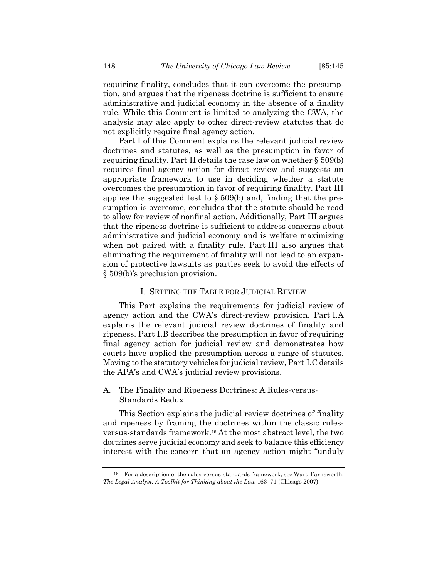requiring finality, concludes that it can overcome the presumption, and argues that the ripeness doctrine is sufficient to ensure administrative and judicial economy in the absence of a finality rule. While this Comment is limited to analyzing the CWA, the analysis may also apply to other direct-review statutes that do not explicitly require final agency action.

Part I of this Comment explains the relevant judicial review doctrines and statutes, as well as the presumption in favor of requiring finality. Part II details the case law on whether § 509(b) requires final agency action for direct review and suggests an appropriate framework to use in deciding whether a statute overcomes the presumption in favor of requiring finality. Part III applies the suggested test to  $\S 509(b)$  and, finding that the presumption is overcome, concludes that the statute should be read to allow for review of nonfinal action. Additionally, Part III argues that the ripeness doctrine is sufficient to address concerns about administrative and judicial economy and is welfare maximizing when not paired with a finality rule. Part III also argues that eliminating the requirement of finality will not lead to an expansion of protective lawsuits as parties seek to avoid the effects of § 509(b)'s preclusion provision.

#### I. SETTING THE TABLE FOR JUDICIAL REVIEW

This Part explains the requirements for judicial review of agency action and the CWA's direct-review provision. Part I.A explains the relevant judicial review doctrines of finality and ripeness. Part I.B describes the presumption in favor of requiring final agency action for judicial review and demonstrates how courts have applied the presumption across a range of statutes. Moving to the statutory vehicles for judicial review, Part I.C details the APA's and CWA's judicial review provisions.

# A. The Finality and Ripeness Doctrines: A Rules-versus-Standards Redux

This Section explains the judicial review doctrines of finality and ripeness by framing the doctrines within the classic rulesversus-standards framework.16 At the most abstract level, the two doctrines serve judicial economy and seek to balance this efficiency interest with the concern that an agency action might "unduly

<sup>16</sup> For a description of the rules-versus-standards framework, see Ward Farnsworth, *The Legal Analyst: A Toolkit for Thinking about the Law* 163–71 (Chicago 2007).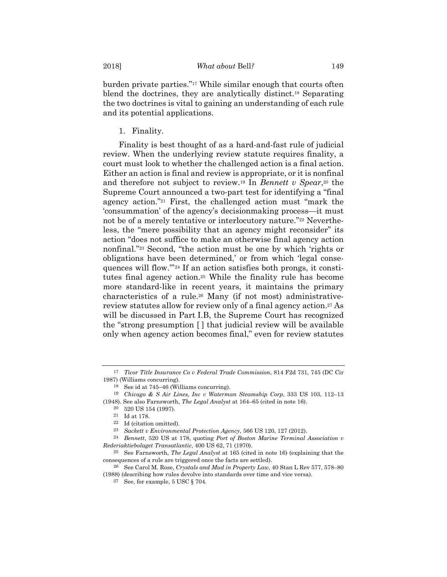burden private parties."17 While similar enough that courts often blend the doctrines, they are analytically distinct.18 Separating the two doctrines is vital to gaining an understanding of each rule and its potential applications.

1. Finality.

Finality is best thought of as a hard-and-fast rule of judicial review. When the underlying review statute requires finality, a court must look to whether the challenged action is a final action. Either an action is final and review is appropriate, or it is nonfinal and therefore not subject to review.19 In *Bennett v Spear*,20 the Supreme Court announced a two-part test for identifying a "final agency action."21 First, the challenged action must "mark the 'consummation' of the agency's decisionmaking process—it must not be of a merely tentative or interlocutory nature."22 Nevertheless, the "mere possibility that an agency might reconsider" its action "does not suffice to make an otherwise final agency action nonfinal."23 Second, "the action must be one by which 'rights or obligations have been determined,' or from which 'legal consequences will flow.'"24 If an action satisfies both prongs, it constitutes final agency action.25 While the finality rule has become more standard-like in recent years, it maintains the primary characteristics of a rule.26 Many (if not most) administrativereview statutes allow for review only of a final agency action.27 As will be discussed in Part I.B, the Supreme Court has recognized the "strong presumption [ ] that judicial review will be available only when agency action becomes final," even for review statutes

<sup>17</sup> *Ticor Title Insurance Co v Federal Trade Commission*, 814 F2d 731, 745 (DC Cir 1987) (Williams concurring).

<sup>18</sup> See id at 745–46 (Williams concurring).

<sup>19</sup> *Chicago & S Air Lines, Inc v Waterman Steamship Corp*, 333 US 103, 112–13 (1948). See also Farnsworth, *The Legal Analyst* at 164–65 (cited in note 16).

<sup>20 520</sup> US 154 (1997).

 $^{\rm 21}$   $\,$  Id at 178.

<sup>22</sup> Id (citation omitted).

<sup>23</sup> *Sackett v Environmental Protection Agency*, 566 US 120, 127 (2012).

<sup>24</sup> *Bennett*, 520 US at 178, quoting *Port of Boston Marine Terminal Association v Rederiaktiebolaget Transatlantic*, 400 US 62, 71 (1970).

<sup>25</sup> See Farnsworth, *The Legal Analyst* at 165 (cited in note 16) (explaining that the consequences of a rule are triggered once the facts are settled).

<sup>26</sup> See Carol M. Rose, *Crystals and Mud in Property Law*, 40 Stan L Rev 577, 578–80 (1988) (describing how rules devolve into standards over time and vice versa).

<sup>27</sup> See, for example, 5 USC § 704.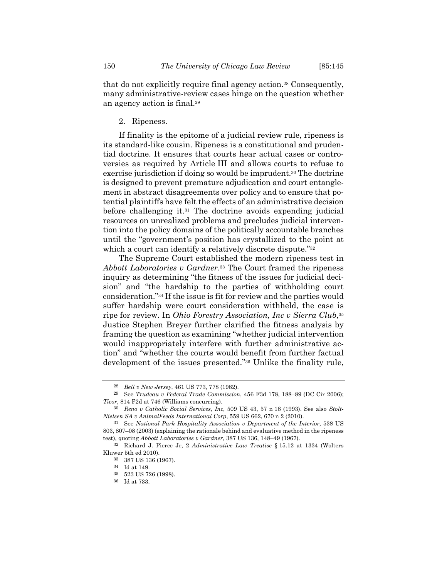that do not explicitly require final agency action.28 Consequently, many administrative-review cases hinge on the question whether an agency action is final.29

#### 2. Ripeness.

If finality is the epitome of a judicial review rule, ripeness is its standard-like cousin. Ripeness is a constitutional and prudential doctrine. It ensures that courts hear actual cases or controversies as required by Article III and allows courts to refuse to exercise jurisdiction if doing so would be imprudent.<sup>30</sup> The doctrine is designed to prevent premature adjudication and court entanglement in abstract disagreements over policy and to ensure that potential plaintiffs have felt the effects of an administrative decision before challenging it.31 The doctrine avoids expending judicial resources on unrealized problems and precludes judicial intervention into the policy domains of the politically accountable branches until the "government's position has crystallized to the point at which a court can identify a relatively discrete dispute."<sup>32</sup>

The Supreme Court established the modern ripeness test in *Abbott Laboratories v Gardner*.33 The Court framed the ripeness inquiry as determining "the fitness of the issues for judicial decision" and "the hardship to the parties of withholding court consideration."34 If the issue is fit for review and the parties would suffer hardship were court consideration withheld, the case is ripe for review. In *Ohio Forestry Association, Inc v Sierra Club*,35 Justice Stephen Breyer further clarified the fitness analysis by framing the question as examining "whether judicial intervention would inappropriately interfere with further administrative action" and "whether the courts would benefit from further factual development of the issues presented."36 Unlike the finality rule,

<sup>28</sup> *Bell v New Jersey*, 461 US 773, 778 (1982).

<sup>29</sup> See *Trudeau v Federal Trade Commission*, 456 F3d 178, 188–89 (DC Cir 2006); *Ticor*, 814 F2d at 746 (Williams concurring).

<sup>30</sup> *Reno v Catholic Social Services, Inc*, 509 US 43, 57 n 18 (1993). See also *Stolt-Nielsen SA v AnimalFeeds International Corp*, 559 US 662, 670 n 2 (2010).

<sup>31</sup> See *National Park Hospitality Association v Department of the Interior*, 538 US 803, 807–08 (2003) (explaining the rationale behind and evaluative method in the ripeness test), quoting *Abbott Laboratories v Gardner*, 387 US 136, 148–49 (1967).

<sup>32</sup> Richard J. Pierce Jr, 2 *Administrative Law Treatise* § 15.12 at 1334 (Wolters Kluwer 5th ed 2010).

<sup>33 387</sup> US 136 (1967).

<sup>34</sup> Id at 149.

<sup>35 523</sup> US 726 (1998).

<sup>36</sup> Id at 733.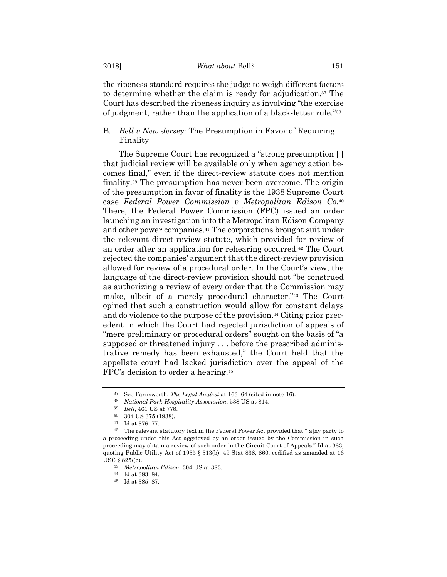the ripeness standard requires the judge to weigh different factors to determine whether the claim is ready for adjudication.37 The Court has described the ripeness inquiry as involving "the exercise of judgment, rather than the application of a black-letter rule."38

B. *Bell v New Jersey*: The Presumption in Favor of Requiring Finality

The Supreme Court has recognized a "strong presumption [ ] that judicial review will be available only when agency action becomes final," even if the direct-review statute does not mention finality.39 The presumption has never been overcome. The origin of the presumption in favor of finality is the 1938 Supreme Court case *Federal Power Commission v Metropolitan Edison Co*.40 There, the Federal Power Commission (FPC) issued an order launching an investigation into the Metropolitan Edison Company and other power companies.41 The corporations brought suit under the relevant direct-review statute, which provided for review of an order after an application for rehearing occurred.42 The Court rejected the companies' argument that the direct-review provision allowed for review of a procedural order. In the Court's view, the language of the direct-review provision should not "be construed as authorizing a review of every order that the Commission may make, albeit of a merely procedural character."43 The Court opined that such a construction would allow for constant delays and do violence to the purpose of the provision.<sup>44</sup> Citing prior precedent in which the Court had rejected jurisdiction of appeals of "mere preliminary or procedural orders" sought on the basis of "a supposed or threatened injury . . . before the prescribed administrative remedy has been exhausted," the Court held that the appellate court had lacked jurisdiction over the appeal of the FPC's decision to order a hearing.45

<sup>37</sup> See Farnsworth, *The Legal Analyst* at 163–64 (cited in note 16). 38 *National Park Hospitality Association*, 538 US at 814.

<sup>39</sup> *Bell*, 461 US at 778.

<sup>40 304</sup> US 375 (1938).

<sup>41</sup> Id at 376–77.

<sup>42</sup> The relevant statutory text in the Federal Power Act provided that "[a]ny party to a proceeding under this Act aggrieved by an order issued by the Commission in such proceeding may obtain a review of such order in the Circuit Court of Appeals." Id at 383, quoting Public Utility Act of 1935 § 313(b), 49 Stat 838, 860, codified as amended at 16 USC § 825*l*(b).

<sup>43</sup> *Metropolitan Edison*, 304 US at 383.

<sup>44</sup> Id at 383–84.

<sup>45</sup> Id at 385–87.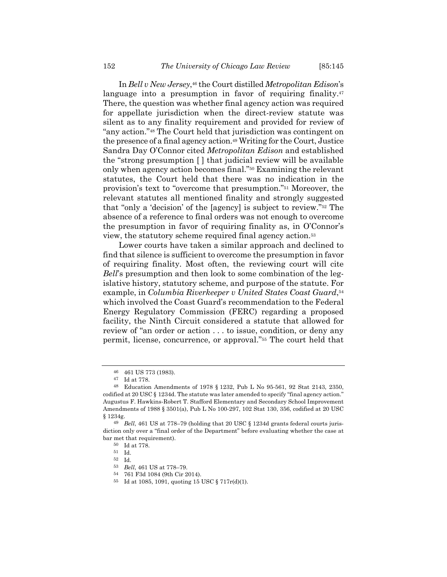In *Bell v New Jersey*,46 the Court distilled *Metropolitan Edison*'s language into a presumption in favor of requiring finality.<sup>47</sup> There, the question was whether final agency action was required for appellate jurisdiction when the direct-review statute was silent as to any finality requirement and provided for review of "any action."48 The Court held that jurisdiction was contingent on the presence of a final agency action.49 Writing for the Court, Justice Sandra Day O'Connor cited *Metropolitan Edison* and established the "strong presumption [ ] that judicial review will be available only when agency action becomes final."50 Examining the relevant statutes, the Court held that there was no indication in the provision's text to "overcome that presumption."51 Moreover, the relevant statutes all mentioned finality and strongly suggested that "only a 'decision' of the [agency] is subject to review."52 The absence of a reference to final orders was not enough to overcome the presumption in favor of requiring finality as, in O'Connor's view, the statutory scheme required final agency action.53

Lower courts have taken a similar approach and declined to find that silence is sufficient to overcome the presumption in favor of requiring finality. Most often, the reviewing court will cite *Bell*'s presumption and then look to some combination of the legislative history, statutory scheme, and purpose of the statute. For example, in *Columbia Riverkeeper v United States Coast Guard*,<sup>54</sup> which involved the Coast Guard's recommendation to the Federal Energy Regulatory Commission (FERC) regarding a proposed facility, the Ninth Circuit considered a statute that allowed for review of "an order or action . . . to issue, condition, or deny any permit, license, concurrence, or approval."55 The court held that

<sup>46 461</sup> US 773 (1983).

<sup>47</sup> Id at 778.

<sup>48</sup> Education Amendments of 1978 § 1232, Pub L No 95-561, 92 Stat 2143, 2350, codified at 20 USC § 1234d. The statute was later amended to specify "final agency action." Augustus F. Hawkins-Robert T. Stafford Elementary and Secondary School Improvement Amendments of 1988 § 3501(a), Pub L No 100-297, 102 Stat 130, 356, codified at 20 USC § 1234g.

<sup>49</sup> *Bell*, 461 US at 778–79 (holding that 20 USC § 1234d grants federal courts jurisdiction only over a "final order of the Department" before evaluating whether the case at bar met that requirement).

 $^{50}\,$  Id at 778.

<sup>51</sup> Id.

<sup>52</sup> Id.

<sup>53</sup> *Bell*, 461 US at 778–79.

<sup>54 761</sup> F3d 1084 (9th Cir 2014).

<sup>55</sup> Id at 1085, 1091, quoting 15 USC § 717r(d)(1).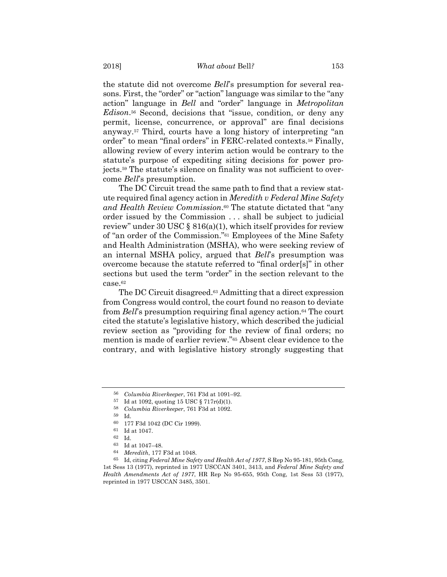the statute did not overcome *Bell*'s presumption for several reasons. First, the "order" or "action" language was similar to the "any action" language in *Bell* and "order" language in *Metropolitan Edison*.56 Second, decisions that "issue, condition, or deny any permit, license, concurrence, or approval" are final decisions anyway.57 Third, courts have a long history of interpreting "an order" to mean "final orders" in FERC-related contexts.58 Finally, allowing review of every interim action would be contrary to the statute's purpose of expediting siting decisions for power projects.59 The statute's silence on finality was not sufficient to overcome *Bell*'s presumption.

The DC Circuit tread the same path to find that a review statute required final agency action in *Meredith v Federal Mine Safety and Health Review Commission*.60 The statute dictated that "any order issued by the Commission . . . shall be subject to judicial review" under 30 USC  $\S$  816(a)(1), which itself provides for review of "an order of the Commission."61 Employees of the Mine Safety and Health Administration (MSHA), who were seeking review of an internal MSHA policy, argued that *Bell*'s presumption was overcome because the statute referred to "final order[s]" in other sections but used the term "order" in the section relevant to the case.62

The DC Circuit disagreed.<sup>63</sup> Admitting that a direct expression from Congress would control, the court found no reason to deviate from *Bell*'s presumption requiring final agency action.64 The court cited the statute's legislative history, which described the judicial review section as "providing for the review of final orders; no mention is made of earlier review."65 Absent clear evidence to the contrary, and with legislative history strongly suggesting that

<sup>56</sup> *Columbia Riverkeeper*, 761 F3d at 1091–92. 57 Id at 1092, quoting 15 USC § 717r(d)(1).

<sup>58</sup> *Columbia Riverkeeper*, 761 F3d at 1092.

<sup>59</sup> Id.

<sup>60 177</sup> F3d 1042 (DC Cir 1999).

<sup>61</sup> Id at 1047.

<sup>62</sup> Id.

 $^{63} \,$  Id at 1047–48.

<sup>64</sup> *Meredith*, 177 F3d at 1048.

<sup>65</sup> Id, citing *Federal Mine Safety and Health Act of 1977*, S Rep No 95-181, 95th Cong, 1st Sess 13 (1977), reprinted in 1977 USCCAN 3401, 3413, and *Federal Mine Safety and Health Amendments Act of 1977*, HR Rep No 95-655, 95th Cong, 1st Sess 53 (1977), reprinted in 1977 USCCAN 3485, 3501.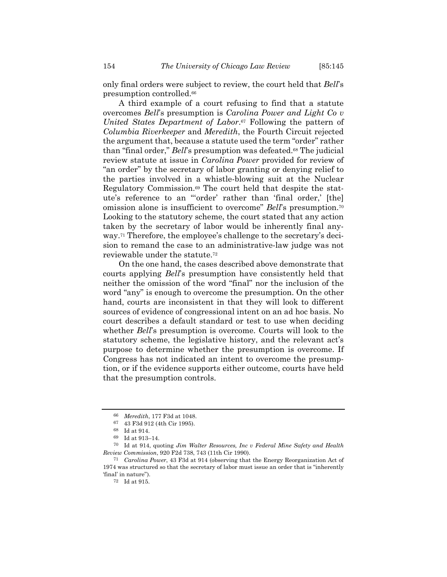only final orders were subject to review, the court held that *Bell*'s presumption controlled.66

A third example of a court refusing to find that a statute overcomes *Bell*'s presumption is *Carolina Power and Light Co v United States Department of Labor*.67 Following the pattern of *Columbia Riverkeeper* and *Meredith*, the Fourth Circuit rejected the argument that, because a statute used the term "order" rather than "final order," *Bell*'s presumption was defeated.<sup>68</sup> The judicial review statute at issue in *Carolina Power* provided for review of "an order" by the secretary of labor granting or denying relief to the parties involved in a whistle-blowing suit at the Nuclear Regulatory Commission.69 The court held that despite the statute's reference to an "'order' rather than 'final order,' [the] omission alone is insufficient to overcome" *Bell*'s presumption.70 Looking to the statutory scheme, the court stated that any action taken by the secretary of labor would be inherently final anyway.71 Therefore, the employee's challenge to the secretary's decision to remand the case to an administrative-law judge was not reviewable under the statute.72

On the one hand, the cases described above demonstrate that courts applying *Bell*'s presumption have consistently held that neither the omission of the word "final" nor the inclusion of the word "any" is enough to overcome the presumption. On the other hand, courts are inconsistent in that they will look to different sources of evidence of congressional intent on an ad hoc basis. No court describes a default standard or test to use when deciding whether *Bell*'s presumption is overcome. Courts will look to the statutory scheme, the legislative history, and the relevant act's purpose to determine whether the presumption is overcome. If Congress has not indicated an intent to overcome the presumption, or if the evidence supports either outcome, courts have held that the presumption controls.

<sup>66</sup> *Meredith*, 177 F3d at 1048. 67 43 F3d 912 (4th Cir 1995).

<sup>68</sup> Id at 914.

<sup>69</sup> Id at 913–14.

<sup>70</sup> Id at 914, quoting *Jim Walter Resources, Inc v Federal Mine Safety and Health Review Commission*, 920 F2d 738, 743 (11th Cir 1990).

<sup>71</sup> *Carolina Power*, 43 F3d at 914 (observing that the Energy Reorganization Act of 1974 was structured so that the secretary of labor must issue an order that is "inherently 'final' in nature").

<sup>72</sup> Id at 915.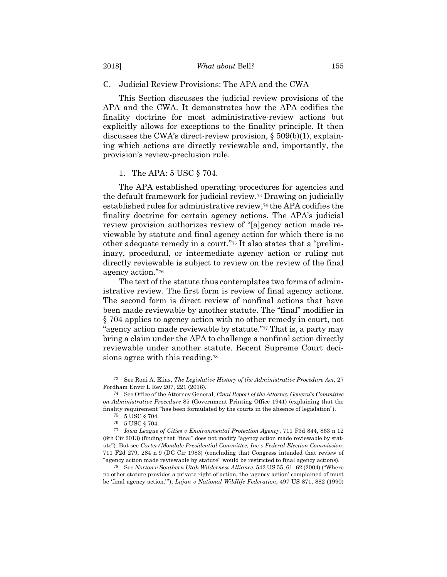C. Judicial Review Provisions: The APA and the CWA

This Section discusses the judicial review provisions of the APA and the CWA. It demonstrates how the APA codifies the finality doctrine for most administrative-review actions but explicitly allows for exceptions to the finality principle. It then discusses the CWA's direct-review provision, § 509(b)(1), explaining which actions are directly reviewable and, importantly, the provision's review-preclusion rule.

#### 1. The APA: 5 USC § 704.

The APA established operating procedures for agencies and the default framework for judicial review.73 Drawing on judicially established rules for administrative review,74 the APA codifies the finality doctrine for certain agency actions. The APA's judicial review provision authorizes review of "[a]gency action made reviewable by statute and final agency action for which there is no other adequate remedy in a court."75 It also states that a "preliminary, procedural, or intermediate agency action or ruling not directly reviewable is subject to review on the review of the final agency action."76

The text of the statute thus contemplates two forms of administrative review. The first form is review of final agency actions. The second form is direct review of nonfinal actions that have been made reviewable by another statute. The "final" modifier in § 704 applies to agency action with no other remedy in court, not "agency action made reviewable by statute."77 That is, a party may bring a claim under the APA to challenge a nonfinal action directly reviewable under another statute. Recent Supreme Court decisions agree with this reading.78

<sup>73</sup> See Roni A. Elias, *The Legislative History of the Administrative Procedure Act*, 27 Fordham Envir L Rev 207, 221 (2016).

<sup>74</sup> See Office of the Attorney General, *Final Report of the Attorney General's Committee on Administrative Procedure* 85 (Government Printing Office 1941) (explaining that the finality requirement "has been formulated by the courts in the absence of legislation").

<sup>75 5</sup> USC  $\S$  704.

<sup>76 5</sup> USC § 704.

<sup>77</sup> *Iowa League of Cities v Environmental Protection Agency*, 711 F3d 844, 863 n 12 (8th Cir 2013) (finding that "final" does not modify "agency action made reviewable by statute"). But see *Carter/Mondale Presidential Committee, Inc v Federal Election Commission*, 711 F2d 279, 284 n 9 (DC Cir 1983) (concluding that Congress intended that review of "agency action made reviewable by statute" would be restricted to final agency actions).

<sup>78</sup> See *Norton v Southern Utah Wilderness Alliance*, 542 US 55, 61–62 (2004) ("Where no other statute provides a private right of action, the 'agency action' complained of must be 'final agency action.'"); *Lujan v National Wildlife Federation*, 497 US 871, 882 (1990)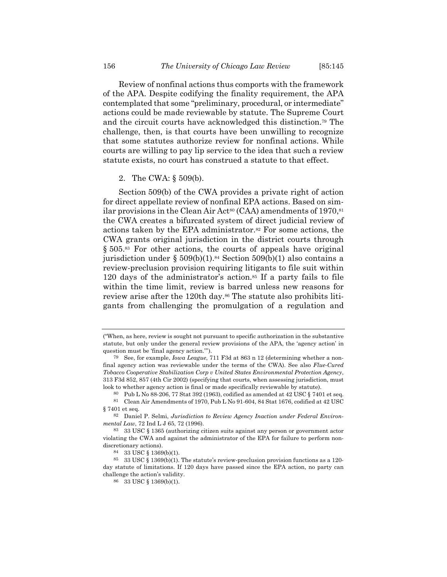Review of nonfinal actions thus comports with the framework of the APA. Despite codifying the finality requirement, the APA contemplated that some "preliminary, procedural, or intermediate" actions could be made reviewable by statute. The Supreme Court and the circuit courts have acknowledged this distinction.79 The challenge, then, is that courts have been unwilling to recognize that some statutes authorize review for nonfinal actions. While courts are willing to pay lip service to the idea that such a review statute exists, no court has construed a statute to that effect.

#### 2. The CWA: § 509(b).

Section 509(b) of the CWA provides a private right of action for direct appellate review of nonfinal EPA actions. Based on similar provisions in the Clean Air Act<sup>80</sup> (CAA) amendments of 1970,  $81$ the CWA creates a bifurcated system of direct judicial review of actions taken by the EPA administrator.82 For some actions, the CWA grants original jurisdiction in the district courts through § 505.83 For other actions, the courts of appeals have original jurisdiction under §  $509(b)(1)$ .<sup>84</sup> Section  $509(b)(1)$  also contains a review-preclusion provision requiring litigants to file suit within 120 days of the administrator's action.85 If a party fails to file within the time limit, review is barred unless new reasons for review arise after the 120th day.<sup>86</sup> The statute also prohibits litigants from challenging the promulgation of a regulation and

<sup>(&</sup>quot;When, as here, review is sought not pursuant to specific authorization in the substantive statute, but only under the general review provisions of the APA, the 'agency action' in question must be 'final agency action.'").

<sup>79</sup> See, for example, *Iowa League*, 711 F3d at 863 n 12 (determining whether a nonfinal agency action was reviewable under the terms of the CWA). See also *Flue-Cured Tobacco Cooperative Stabilization Corp v United States Environmental Protection Agency*, 313 F3d 852, 857 (4th Cir 2002) (specifying that courts, when assessing jurisdiction, must look to whether agency action is final or made specifically reviewable by statute).

<sup>&</sup>lt;sup>80</sup> Pub L No 88-206, 77 Stat 392 (1963), codified as amended at 42 USC § 7401 et seq.<br><sup>81</sup> Clean Air Amendments of 1970, Pub L No 91-604, 84 Stat 1676, codified at 42 USC

<sup>§ 7401</sup> et seq.

<sup>82</sup> Daniel P. Selmi, *Jurisdiction to Review Agency Inaction under Federal Environmental Law*, 72 Ind L J 65, 72 (1996).

<sup>83 33</sup> USC § 1365 (authorizing citizen suits against any person or government actor violating the CWA and against the administrator of the EPA for failure to perform nondiscretionary actions).

<sup>84 33</sup> USC § 1369(b)(1).

<sup>85 33</sup> USC § 1369(b)(1). The statute's review-preclusion provision functions as a 120 day statute of limitations. If 120 days have passed since the EPA action, no party can challenge the action's validity.

<sup>86 33</sup> USC § 1369(b)(1).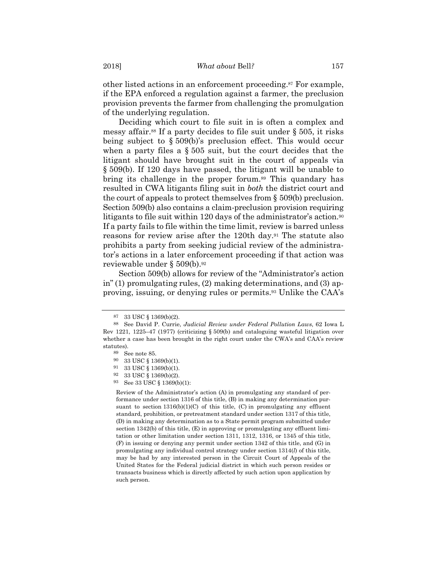other listed actions in an enforcement proceeding.87 For example, if the EPA enforced a regulation against a farmer, the preclusion provision prevents the farmer from challenging the promulgation of the underlying regulation.

Deciding which court to file suit in is often a complex and messy affair.<sup>88</sup> If a party decides to file suit under  $\S$  505, it risks being subject to § 509(b)'s preclusion effect. This would occur when a party files a § 505 suit, but the court decides that the litigant should have brought suit in the court of appeals via § 509(b). If 120 days have passed, the litigant will be unable to bring its challenge in the proper forum.<sup>89</sup> This quandary has resulted in CWA litigants filing suit in *both* the district court and the court of appeals to protect themselves from § 509(b) preclusion. Section 509(b) also contains a claim-preclusion provision requiring litigants to file suit within 120 days of the administrator's action.<sup>90</sup> If a party fails to file within the time limit, review is barred unless reasons for review arise after the 120th day.91 The statute also prohibits a party from seeking judicial review of the administrator's actions in a later enforcement proceeding if that action was reviewable under § 509(b).92

Section 509(b) allows for review of the "Administrator's action in" (1) promulgating rules, (2) making determinations, and (3) approving, issuing, or denying rules or permits.93 Unlike the CAA's

Review of the Administrator's action (A) in promulgating any standard of performance under section 1316 of this title, (B) in making any determination pursuant to section  $1316(b)(1)(C)$  of this title,  $(C)$  in promulgating any effluent standard, prohibition, or pretreatment standard under section 1317 of this title, (D) in making any determination as to a State permit program submitted under section 1342(b) of this title, (E) in approving or promulgating any effluent limitation or other limitation under section 1311, 1312, 1316, or 1345 of this title, (F) in issuing or denying any permit under section 1342 of this title, and (G) in promulgating any individual control strategy under section 1314(*l*) of this title, may be had by any interested person in the Circuit Court of Appeals of the United States for the Federal judicial district in which such person resides or transacts business which is directly affected by such action upon application by such person.

<sup>87 33</sup> USC § 1369(b)(2).

<sup>88</sup> See David P. Currie, *Judicial Review under Federal Pollution Laws*, 62 Iowa L Rev 1221, 1225–47 (1977) (criticizing § 509(b) and cataloguing wasteful litigation over whether a case has been brought in the right court under the CWA's and CAA's review statutes).

<sup>89</sup> See note 85.

<sup>90 33</sup> USC  $\S$  1369(b)(1).<br>91 33 USC  $\S$  1369(b)(1)

 $33$  USC  $\S$   $1369(b)(1).$ 

<sup>92 33</sup> USC § 1369(b)(2).

<sup>93</sup> See 33 USC § 1369(b)(1):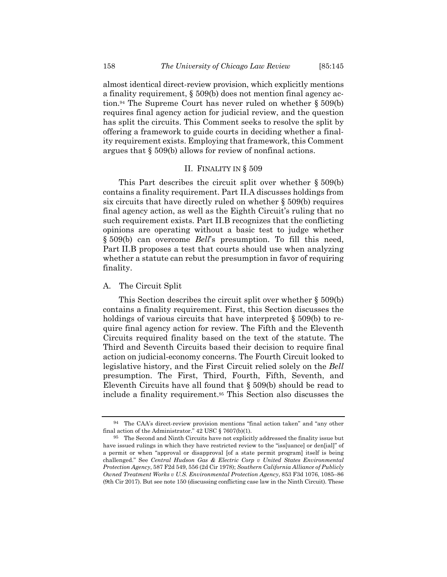almost identical direct-review provision, which explicitly mentions a finality requirement, § 509(b) does not mention final agency action.<sup>94</sup> The Supreme Court has never ruled on whether  $\S 509(b)$ requires final agency action for judicial review, and the question has split the circuits. This Comment seeks to resolve the split by offering a framework to guide courts in deciding whether a finality requirement exists. Employing that framework, this Comment argues that § 509(b) allows for review of nonfinal actions.

#### II. FINALITY IN § 509

This Part describes the circuit split over whether § 509(b) contains a finality requirement. Part II.A discusses holdings from six circuits that have directly ruled on whether § 509(b) requires final agency action, as well as the Eighth Circuit's ruling that no such requirement exists. Part II.B recognizes that the conflicting opinions are operating without a basic test to judge whether § 509(b) can overcome *Bell*'s presumption. To fill this need, Part II.B proposes a test that courts should use when analyzing whether a statute can rebut the presumption in favor of requiring finality.

#### A. The Circuit Split

This Section describes the circuit split over whether § 509(b) contains a finality requirement. First, this Section discusses the holdings of various circuits that have interpreted  $\S 509(b)$  to require final agency action for review. The Fifth and the Eleventh Circuits required finality based on the text of the statute. The Third and Seventh Circuits based their decision to require final action on judicial-economy concerns. The Fourth Circuit looked to legislative history, and the First Circuit relied solely on the *Bell* presumption. The First, Third, Fourth, Fifth, Seventh, and Eleventh Circuits have all found that § 509(b) should be read to include a finality requirement.95 This Section also discusses the

<sup>94</sup> The CAA's direct-review provision mentions "final action taken" and "any other final action of the Administrator." 42 USC § 7607(b)(1).

<sup>95</sup> The Second and Ninth Circuits have not explicitly addressed the finality issue but have issued rulings in which they have restricted review to the "iss[uance] or den[ial]" of a permit or when "approval or disapproval [of a state permit program] itself is being challenged." See *Central Hudson Gas & Electric Corp v United States Environmental Protection Agency*, 587 F2d 549, 556 (2d Cir 1978); *Southern California Alliance of Publicly Owned Treatment Works v U.S. Environmental Protection Agency*, 853 F3d 1076, 1085–86 (9th Cir 2017). But see note 150 (discussing conflicting case law in the Ninth Circuit). These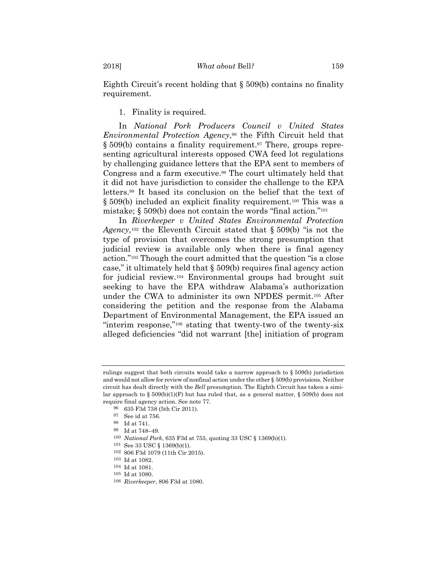Eighth Circuit's recent holding that § 509(b) contains no finality requirement.

1. Finality is required.

In *National Pork Producers Council v United States Environmental Protection Agency*,96 the Fifth Circuit held that § 509(b) contains a finality requirement.<sup>97</sup> There, groups representing agricultural interests opposed CWA feed lot regulations by challenging guidance letters that the EPA sent to members of Congress and a farm executive.<sup>98</sup> The court ultimately held that it did not have jurisdiction to consider the challenge to the EPA letters.99 It based its conclusion on the belief that the text of § 509(b) included an explicit finality requirement.100 This was a mistake; § 509(b) does not contain the words "final action."101

In *Riverkeeper v United States Environmental Protection Agency*,102 the Eleventh Circuit stated that § 509(b) "is not the type of provision that overcomes the strong presumption that judicial review is available only when there is final agency action."103 Though the court admitted that the question "is a close case," it ultimately held that § 509(b) requires final agency action for judicial review.104 Environmental groups had brought suit seeking to have the EPA withdraw Alabama's authorization under the CWA to administer its own NPDES permit.105 After considering the petition and the response from the Alabama Department of Environmental Management, the EPA issued an "interim response,"106 stating that twenty-two of the twenty-six alleged deficiencies "did not warrant [the] initiation of program

<sup>100</sup> *National Pork*, 635 F3d at 755, quoting 33 USC § 1369(b)(1).<br><sup>101</sup> See 33 USC § 1369(b)(1).

rulings suggest that both circuits would take a narrow approach to § 509(b) jurisdiction and would not allow for review of nonfinal action under the other § 509(b) provisions. Neither circuit has dealt directly with the *Bell* presumption. The Eighth Circuit has taken a similar approach to § 509(b)(1)(F) but has ruled that, as a general matter, § 509(b) does not require final agency action. See note 77.

<sup>96 635</sup> F3d 738 (5th Cir 2011).

<sup>97</sup> See id at 756.

<sup>98</sup> Id at 741.

<sup>99</sup> Id at 748–49.

<sup>102 806</sup> F3d 1079 (11th Cir 2015).

<sup>103</sup> Id at 1082. 104 Id at 1081.

<sup>105</sup> Id at 1080.

<sup>106</sup> *Riverkeeper*, 806 F3d at 1080.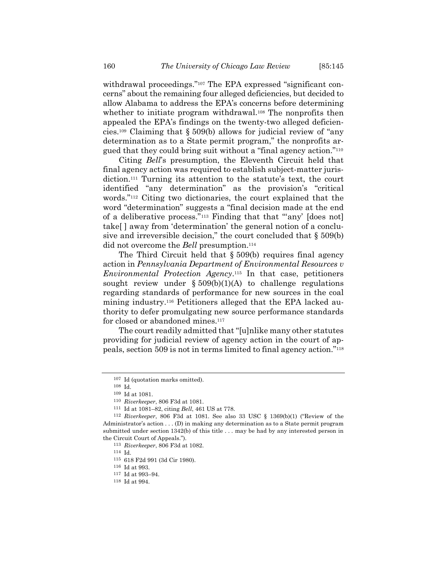withdrawal proceedings."<sup>107</sup> The EPA expressed "significant concerns" about the remaining four alleged deficiencies, but decided to allow Alabama to address the EPA's concerns before determining whether to initiate program withdrawal.<sup>108</sup> The nonprofits then appealed the EPA's findings on the twenty-two alleged deficiencies.109 Claiming that § 509(b) allows for judicial review of "any determination as to a State permit program," the nonprofits argued that they could bring suit without a "final agency action."110

Citing *Bell*'s presumption, the Eleventh Circuit held that final agency action was required to establish subject-matter jurisdiction.111 Turning its attention to the statute's text, the court identified "any determination" as the provision's "critical words."112 Citing two dictionaries, the court explained that the word "determination" suggests a "final decision made at the end of a deliberative process."113 Finding that that "'any' [does not] take[ ] away from 'determination' the general notion of a conclusive and irreversible decision," the court concluded that  $\S 509(b)$ did not overcome the *Bell* presumption.<sup>114</sup>

The Third Circuit held that § 509(b) requires final agency action in *Pennsylvania Department of Environmental Resources v Environmental Protection Agency*.115 In that case, petitioners sought review under  $\S 509(b)(1)(A)$  to challenge regulations regarding standards of performance for new sources in the coal mining industry.116 Petitioners alleged that the EPA lacked authority to defer promulgating new source performance standards for closed or abandoned mines.<sup>117</sup>

The court readily admitted that "[u]nlike many other statutes providing for judicial review of agency action in the court of appeals, section 509 is not in terms limited to final agency action."118

<sup>107</sup> Id (quotation marks omitted).

<sup>108</sup> Id.

<sup>109</sup> Id at 1081. 110 *Riverkeeper*, 806 F3d at 1081.

<sup>111</sup> Id at 1081–82, citing *Bell*, 461 US at 778.

<sup>112</sup> *Riverkeeper*, 806 F3d at 1081. See also 33 USC § 1369(b)(1) ("Review of the Administrator's action . . . (D) in making any determination as to a State permit program submitted under section 1342(b) of this title . . . may be had by any interested person in the Circuit Court of Appeals.").

<sup>113</sup> *Riverkeeper*, 806 F3d at 1082.

<sup>114</sup> Id.

<sup>115 618</sup> F2d 991 (3d Cir 1980). 116 Id at 993.

<sup>117</sup> Id at 993–94.

<sup>118</sup> Id at 994.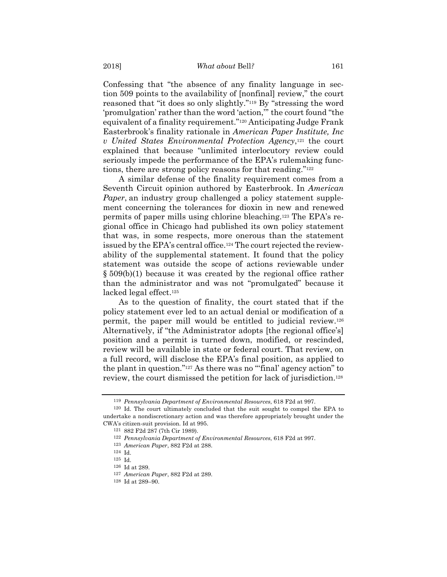Confessing that "the absence of any finality language in section 509 points to the availability of [nonfinal] review," the court reasoned that "it does so only slightly."119 By "stressing the word 'promulgation' rather than the word 'action,'" the court found "the equivalent of a finality requirement."120 Anticipating Judge Frank Easterbrook's finality rationale in *American Paper Institute, Inc v United States Environmental Protection Agency*,121 the court explained that because "unlimited interlocutory review could seriously impede the performance of the EPA's rulemaking functions, there are strong policy reasons for that reading."122

A similar defense of the finality requirement comes from a Seventh Circuit opinion authored by Easterbrook. In *American Paper*, an industry group challenged a policy statement supplement concerning the tolerances for dioxin in new and renewed permits of paper mills using chlorine bleaching.123 The EPA's regional office in Chicago had published its own policy statement that was, in some respects, more onerous than the statement issued by the EPA's central office.124 The court rejected the reviewability of the supplemental statement. It found that the policy statement was outside the scope of actions reviewable under § 509(b)(1) because it was created by the regional office rather than the administrator and was not "promulgated" because it lacked legal effect.<sup>125</sup>

As to the question of finality, the court stated that if the policy statement ever led to an actual denial or modification of a permit, the paper mill would be entitled to judicial review.126 Alternatively, if "the Administrator adopts [the regional office's] position and a permit is turned down, modified, or rescinded, review will be available in state or federal court. That review, on a full record, will disclose the EPA's final position, as applied to the plant in question."127 As there was no "'final' agency action" to review, the court dismissed the petition for lack of jurisdiction.128

<sup>119</sup> *Pennsylvania Department of Environmental Resources*, 618 F2d at 997.

<sup>120</sup> Id. The court ultimately concluded that the suit sought to compel the EPA to undertake a nondiscretionary action and was therefore appropriately brought under the CWA's citizen-suit provision. Id at 995.

<sup>121 882</sup> F2d 287 (7th Cir 1989).

<sup>122</sup> *Pennsylvania Department of Environmental Resources*, 618 F2d at 997. 123 *American Paper*, 882 F2d at 288.

<sup>124</sup> Id.

<sup>125</sup> Id.

<sup>126</sup> Id at 289.

<sup>127</sup> *American Paper*, 882 F2d at 289.

<sup>128</sup> Id at 289–90.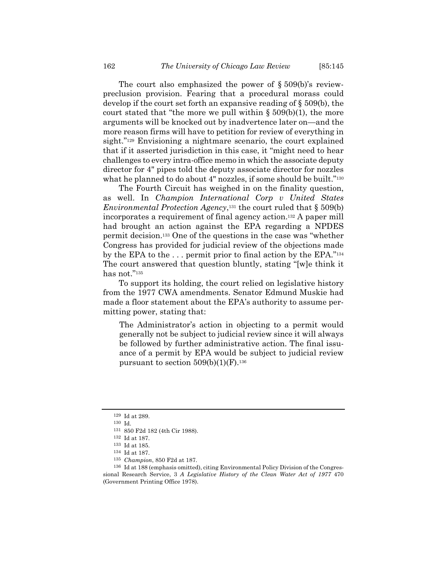The court also emphasized the power of  $\S 509(b)$ 's reviewpreclusion provision. Fearing that a procedural morass could develop if the court set forth an expansive reading of § 509(b), the court stated that "the more we pull within  $\S 509(b)(1)$ , the more arguments will be knocked out by inadvertence later on—and the more reason firms will have to petition for review of everything in sight."<sup>129</sup> Envisioning a nightmare scenario, the court explained that if it asserted jurisdiction in this case, it "might need to hear challenges to every intra-office memo in which the associate deputy director for 4" pipes told the deputy associate director for nozzles what he planned to do about 4" nozzles, if some should be built."<sup>130</sup>

The Fourth Circuit has weighed in on the finality question, as well. In *Champion International Corp v United States Environmental Protection Agency*,<sup>131</sup> the court ruled that § 509(b) incorporates a requirement of final agency action.132 A paper mill had brought an action against the EPA regarding a NPDES permit decision.133 One of the questions in the case was "whether Congress has provided for judicial review of the objections made by the EPA to the . . . permit prior to final action by the EPA."134 The court answered that question bluntly, stating "[w]e think it has not."135

To support its holding, the court relied on legislative history from the 1977 CWA amendments. Senator Edmund Muskie had made a floor statement about the EPA's authority to assume permitting power, stating that:

The Administrator's action in objecting to a permit would generally not be subject to judicial review since it will always be followed by further administrative action. The final issuance of a permit by EPA would be subject to judicial review pursuant to section  $509(b)(1)(F)$ .<sup>136</sup>

 $129$  Id at 289.<br> $130$  Id.

<sup>131 850</sup> F2d 182 (4th Cir 1988).

 $132$  Id at 187.<br> $133$  Id at 185.

<sup>134</sup> Id at 187.

<sup>&</sup>lt;sup>135</sup> *Champion*, 850 F2d at 187.<br><sup>136</sup> Id at 188 (emphasis omitted), citing Environmental Policy Division of the Congressional Research Service, 3 *A Legislative History of the Clean Water Act of 1977* 470 (Government Printing Office 1978).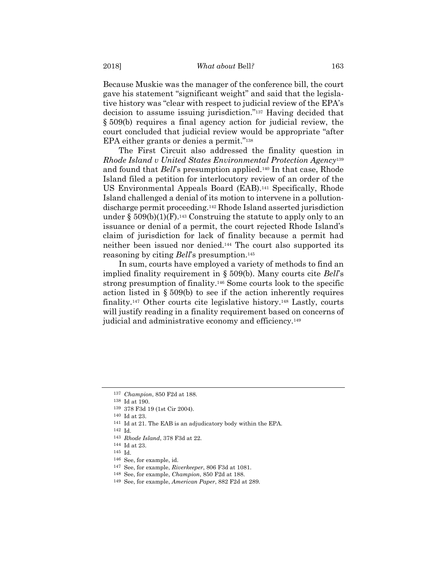Because Muskie was the manager of the conference bill, the court gave his statement "significant weight" and said that the legislative history was "clear with respect to judicial review of the EPA's decision to assume issuing jurisdiction."137 Having decided that § 509(b) requires a final agency action for judicial review, the court concluded that judicial review would be appropriate "after EPA either grants or denies a permit."138

The First Circuit also addressed the finality question in *Rhode Island v United States Environmental Protection Agency*<sup>139</sup> and found that *Bell*'s presumption applied.140 In that case, Rhode Island filed a petition for interlocutory review of an order of the US Environmental Appeals Board (EAB).141 Specifically, Rhode Island challenged a denial of its motion to intervene in a pollutiondischarge permit proceeding.142 Rhode Island asserted jurisdiction under  $\S 509(b)(1)(F).$ <sup>143</sup> Construing the statute to apply only to an issuance or denial of a permit, the court rejected Rhode Island's claim of jurisdiction for lack of finality because a permit had neither been issued nor denied.144 The court also supported its reasoning by citing *Bell*'s presumption.145

In sum, courts have employed a variety of methods to find an implied finality requirement in § 509(b). Many courts cite *Bell*'s strong presumption of finality.146 Some courts look to the specific action listed in § 509(b) to see if the action inherently requires finality.147 Other courts cite legislative history.148 Lastly, courts will justify reading in a finality requirement based on concerns of judicial and administrative economy and efficiency.<sup>149</sup>

<sup>137</sup> *Champion*, 850 F2d at 188. 138 Id at 190.

 $^{139}$  378 F3d 19 (1st Cir 2004).  $^{140}$  Id at 23.

<sup>&</sup>lt;sup>141</sup> Id at 21. The EAB is an adjudicatory body within the EPA.

<sup>142</sup> Id.

<sup>143</sup> *Rhode Island*, 378 F3d at 22. 144 Id at 23.

<sup>145</sup> Id.

<sup>146</sup> See, for example, id. 147 See, for example, *Riverkeeper*, 806 F3d at 1081.

<sup>148</sup> See, for example, *Champion*, 850 F2d at 188.

<sup>149</sup> See, for example, *American Paper*, 882 F2d at 289.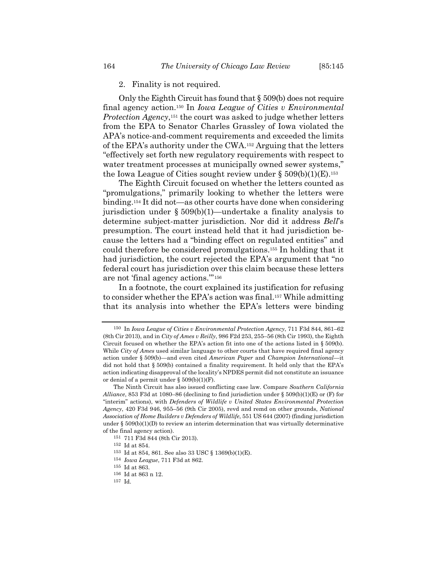#### 2. Finality is not required.

Only the Eighth Circuit has found that § 509(b) does not require final agency action.150 In *Iowa League of Cities v Environmental Protection Agency*,151 the court was asked to judge whether letters from the EPA to Senator Charles Grassley of Iowa violated the APA's notice-and-comment requirements and exceeded the limits of the EPA's authority under the CWA.152 Arguing that the letters "effectively set forth new regulatory requirements with respect to water treatment processes at municipally owned sewer systems," the Iowa League of Cities sought review under  $\S 509(b)(1)(E).$ <sup>153</sup>

The Eighth Circuit focused on whether the letters counted as "promulgations," primarily looking to whether the letters were binding.154 It did not—as other courts have done when considering jurisdiction under § 509(b)(1)—undertake a finality analysis to determine subject-matter jurisdiction. Nor did it address *Bell*'s presumption. The court instead held that it had jurisdiction because the letters had a "binding effect on regulated entities" and could therefore be considered promulgations.155 In holding that it had jurisdiction, the court rejected the EPA's argument that "no federal court has jurisdiction over this claim because these letters are not 'final agency actions.'"156

In a footnote, the court explained its justification for refusing to consider whether the EPA's action was final.157 While admitting that its analysis into whether the EPA's letters were binding

<sup>150</sup> In *Iowa League of Cities v Environmental Protection Agency*, 711 F3d 844, 861–62 (8th Cir 2013), and in *City of Ames v Reilly*, 986 F2d 253, 255–56 (8th Cir 1993), the Eighth Circuit focused on whether the EPA's action fit into one of the actions listed in § 509(b). While *City of Ames* used similar language to other courts that have required final agency action under § 509(b)—and even cited *American Paper* and *Champion International*—it did not hold that § 509(b) contained a finality requirement. It held only that the EPA's action indicating disapproval of the locality's NPDES permit did not constitute an issuance or denial of a permit under  $\S 509(b)(1)(F)$ .

The Ninth Circuit has also issued conflicting case law. Compare *Southern California Alliance*, 853 F3d at 1080–86 (declining to find jurisdiction under  $\S$  509(b)(1)(E) or (F) for "interim" actions), with *Defenders of Wildlife v United States Environmental Protection Agency*, 420 F3d 946, 955–56 (9th Cir 2005), revd and remd on other grounds, *National Association of Home Builders v Defenders of Wildlife*, 551 US 644 (2007) (finding jurisdiction under  $\S 509(b)(1)(D)$  to review an interim determination that was virtually determinative of the final agency action).

<sup>151 711</sup> F3d 844 (8th Cir 2013). 152 Id at 854.

<sup>153</sup> Id at 854, 861. See also 33 USC § 1369(b)(1)(E).

<sup>154</sup> *Iowa League*, 711 F3d at 862. 155 Id at 863.

<sup>156</sup> Id at 863 n 12.

<sup>157</sup> Id.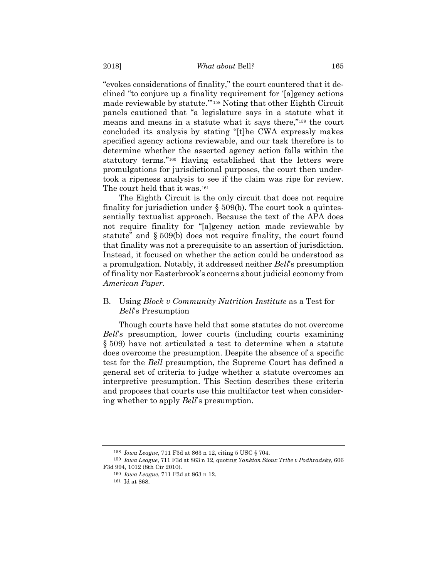"evokes considerations of finality," the court countered that it declined "to conjure up a finality requirement for '[a]gency actions made reviewable by statute.'"158 Noting that other Eighth Circuit panels cautioned that "a legislature says in a statute what it means and means in a statute what it says there,"159 the court concluded its analysis by stating "[t]he CWA expressly makes specified agency actions reviewable, and our task therefore is to determine whether the asserted agency action falls within the statutory terms."160 Having established that the letters were promulgations for jurisdictional purposes, the court then undertook a ripeness analysis to see if the claim was ripe for review. The court held that it was.<sup>161</sup>

The Eighth Circuit is the only circuit that does not require finality for jurisdiction under  $\S$  509(b). The court took a quintessentially textualist approach. Because the text of the APA does not require finality for "[a]gency action made reviewable by statute" and § 509(b) does not require finality, the court found that finality was not a prerequisite to an assertion of jurisdiction. Instead, it focused on whether the action could be understood as a promulgation. Notably, it addressed neither *Bell*'s presumption of finality nor Easterbrook's concerns about judicial economy from *American Paper*.

# B. Using *Block v Community Nutrition Institute* as a Test for *Bell*'s Presumption

Though courts have held that some statutes do not overcome *Bell*'s presumption, lower courts (including courts examining § 509) have not articulated a test to determine when a statute does overcome the presumption. Despite the absence of a specific test for the *Bell* presumption, the Supreme Court has defined a general set of criteria to judge whether a statute overcomes an interpretive presumption. This Section describes these criteria and proposes that courts use this multifactor test when considering whether to apply *Bell*'s presumption.

<sup>158</sup> *Iowa League*, 711 F3d at 863 n 12, citing 5 USC § 704.

<sup>159</sup> *Iowa League*, 711 F3d at 863 n 12, quoting *Yankton Sioux Tribe v Podhradsky*, 606 F3d 994, 1012 (8th Cir 2010).

<sup>160</sup> *Iowa League*, 711 F3d at 863 n 12.

<sup>161</sup> Id at 868.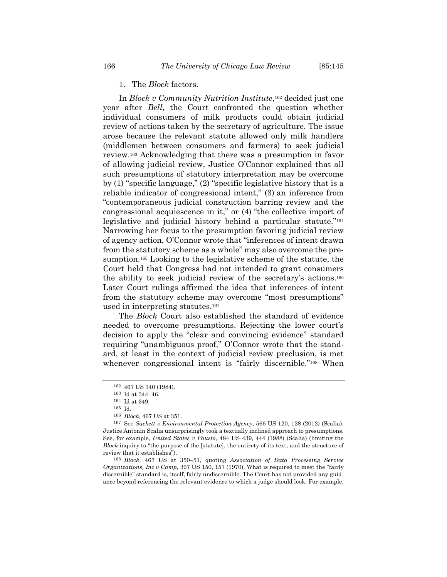## 1. The *Block* factors.

In *Block v Community Nutrition Institute*,<sup>162</sup> decided just one year after *Bell*, the Court confronted the question whether individual consumers of milk products could obtain judicial review of actions taken by the secretary of agriculture. The issue arose because the relevant statute allowed only milk handlers (middlemen between consumers and farmers) to seek judicial review.163 Acknowledging that there was a presumption in favor of allowing judicial review, Justice O'Connor explained that all such presumptions of statutory interpretation may be overcome by (1) "specific language," (2) "specific legislative history that is a reliable indicator of congressional intent," (3) an inference from "contemporaneous judicial construction barring review and the congressional acquiescence in it," or (4) "the collective import of legislative and judicial history behind a particular statute."164 Narrowing her focus to the presumption favoring judicial review of agency action, O'Connor wrote that "inferences of intent drawn from the statutory scheme as a whole" may also overcome the presumption.165 Looking to the legislative scheme of the statute, the Court held that Congress had not intended to grant consumers the ability to seek judicial review of the secretary's actions.166 Later Court rulings affirmed the idea that inferences of intent from the statutory scheme may overcome "most presumptions" used in interpreting statutes.167

The *Block* Court also established the standard of evidence needed to overcome presumptions. Rejecting the lower court's decision to apply the "clear and convincing evidence" standard requiring "unambiguous proof," O'Connor wrote that the standard, at least in the context of judicial review preclusion, is met whenever congressional intent is "fairly discernible."<sup>168</sup> When

<sup>162 467</sup> US 340 (1984).

 $163$  Id at 344–46.<br> $164$  Id at 349.

 $^{165}$  Id.  $^{166}$   $Block,\,467$  US at 351.

<sup>&</sup>lt;sup>167</sup> See *Sackett v Environmental Protection Agency*, 566 US 120, 128 (2012) (Scalia). Justice Antonin Scalia unsurprisingly took a textually inclined approach to presumptions. See, for example, *United States v Fausto*, 484 US 439, 444 (1988) (Scalia) (limiting the *Block* inquiry to "the purpose of the [statute], the entirety of its text, and the structure of review that it establishes").

<sup>168</sup> *Block*, 467 US at 350–51, quoting *Association of Data Processing Service Organizations, Inc v Camp*, 397 US 150, 157 (1970). What is required to meet the "fairly discernible" standard is, itself, fairly undiscernible. The Court has not provided any guidance beyond referencing the relevant evidence to which a judge should look. For example,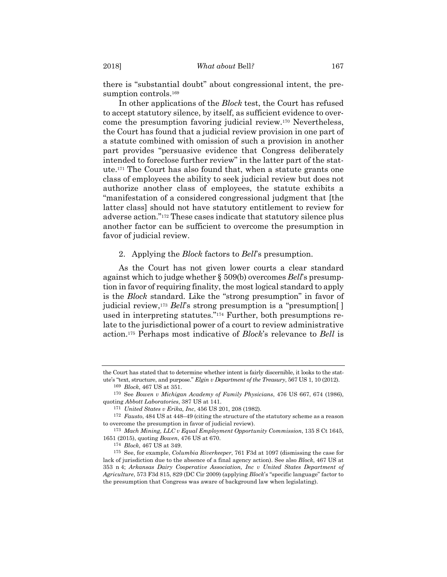there is "substantial doubt" about congressional intent, the presumption controls.<sup>169</sup>

In other applications of the *Block* test, the Court has refused to accept statutory silence, by itself, as sufficient evidence to overcome the presumption favoring judicial review.170 Nevertheless, the Court has found that a judicial review provision in one part of a statute combined with omission of such a provision in another part provides "persuasive evidence that Congress deliberately intended to foreclose further review" in the latter part of the statute.171 The Court has also found that, when a statute grants one class of employees the ability to seek judicial review but does not authorize another class of employees, the statute exhibits a "manifestation of a considered congressional judgment that [the latter class] should not have statutory entitlement to review for adverse action."172 These cases indicate that statutory silence plus another factor can be sufficient to overcome the presumption in favor of judicial review.

#### 2. Applying the *Block* factors to *Bell*'s presumption.

As the Court has not given lower courts a clear standard against which to judge whether § 509(b) overcomes *Bell*'s presumption in favor of requiring finality, the most logical standard to apply is the *Block* standard. Like the "strong presumption" in favor of judicial review,173 *Bell*'s strong presumption is a "presumption[ ] used in interpreting statutes."174 Further, both presumptions relate to the jurisdictional power of a court to review administrative action.175 Perhaps most indicative of *Block*'s relevance to *Bell* is

the Court has stated that to determine whether intent is fairly discernible, it looks to the statute's "text, structure, and purpose." *Elgin v Department of the Treasury*, 567 US 1, 10 (2012).

<sup>169</sup> *Block*, 467 US at 351.

<sup>170</sup> See *Bowen v Michigan Academy of Family Physicians*, 476 US 667, 674 (1986), quoting *Abbott Laboratories*, 387 US at 141.

<sup>171</sup> *United States v Erika, Inc*, 456 US 201, 208 (1982).

<sup>172</sup> *Fausto*, 484 US at 448–49 (citing the structure of the statutory scheme as a reason to overcome the presumption in favor of judicial review).

<sup>173</sup> *Mach Mining, LLC v Equal Employment Opportunity Commission*, 135 S Ct 1645, 1651 (2015), quoting *Bowen*, 476 US at 670.

<sup>174</sup> *Block*, 467 US at 349.

<sup>175</sup> See, for example, *Columbia Riverkeeper*, 761 F3d at 1097 (dismissing the case for lack of jurisdiction due to the absence of a final agency action). See also *Block*, 467 US at 353 n 4; *Arkansas Dairy Cooperative Association, Inc v United States Department of Agriculture*, 573 F3d 815, 829 (DC Cir 2009) (applying *Block*'s "specific language" factor to the presumption that Congress was aware of background law when legislating).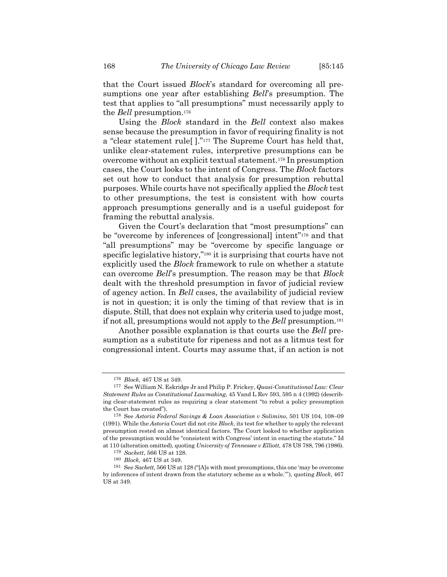that the Court issued *Block*'s standard for overcoming all presumptions one year after establishing *Bell*'s presumption. The test that applies to "all presumptions" must necessarily apply to the *Bell* presumption.176

Using the *Block* standard in the *Bell* context also makes sense because the presumption in favor of requiring finality is not a "clear statement rule[ ]."177 The Supreme Court has held that, unlike clear-statement rules, interpretive presumptions can be overcome without an explicit textual statement.178 In presumption cases, the Court looks to the intent of Congress. The *Block* factors set out how to conduct that analysis for presumption rebuttal purposes. While courts have not specifically applied the *Block* test to other presumptions, the test is consistent with how courts approach presumptions generally and is a useful guidepost for framing the rebuttal analysis.

Given the Court's declaration that "most presumptions" can be "overcome by inferences of [congressional] intent"179 and that "all presumptions" may be "overcome by specific language or specific legislative history,"180 it is surprising that courts have not explicitly used the *Block* framework to rule on whether a statute can overcome *Bell*'s presumption. The reason may be that *Block* dealt with the threshold presumption in favor of judicial review of agency action. In *Bell* cases, the availability of judicial review is not in question; it is only the timing of that review that is in dispute. Still, that does not explain why criteria used to judge most, if not all, presumptions would not apply to the *Bell* presumption.181

Another possible explanation is that courts use the *Bell* presumption as a substitute for ripeness and not as a litmus test for congressional intent. Courts may assume that, if an action is not

<sup>176</sup> *Block*, 467 US at 349.

<sup>177</sup> See William N. Eskridge Jr and Philip P. Frickey, *Quasi-Constitutional Law: Clear Statement Rules as Constitutional Lawmaking*, 45 Vand L Rev 593, 595 n 4 (1992) (describing clear-statement rules as requiring a clear statement "to rebut a policy presumption the Court has created").

<sup>178</sup> See *Astoria Federal Savings & Loan Association v Solimino*, 501 US 104, 108–09 (1991). While the *Astoria* Court did not cite *Block*, its test for whether to apply the relevant presumption rested on almost identical factors. The Court looked to whether application of the presumption would be "consistent with Congress' intent in enacting the statute." Id at 110 (alteration omitted), quoting *University of Tennessee v Elliott*, 478 US 788, 796 (1986).

<sup>179</sup> *Sackett*, 566 US at 128.

<sup>180</sup> *Block*, 467 US at 349.

<sup>181</sup> See *Sackett*, 566 US at 128 ("[A]s with most presumptions, this one 'may be overcome by inferences of intent drawn from the statutory scheme as a whole.'"), quoting *Block*, 467 US at 349.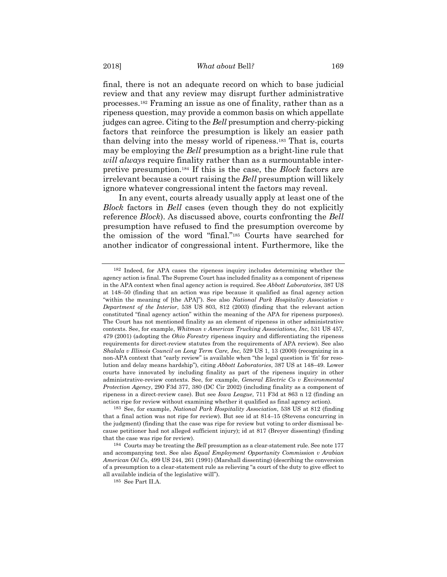#### 2018] *What about* Bell*?* 169

final, there is not an adequate record on which to base judicial review and that any review may disrupt further administrative processes.182 Framing an issue as one of finality, rather than as a ripeness question, may provide a common basis on which appellate judges can agree. Citing to the *Bell* presumption and cherry-picking factors that reinforce the presumption is likely an easier path than delving into the messy world of ripeness.183 That is, courts may be employing the *Bell* presumption as a bright-line rule that *will always* require finality rather than as a surmountable interpretive presumption.184 If this is the case, the *Block* factors are irrelevant because a court raising the *Bell* presumption will likely ignore whatever congressional intent the factors may reveal.

In any event, courts already usually apply at least one of the *Block* factors in *Bell* cases (even though they do not explicitly reference *Block*). As discussed above, courts confronting the *Bell* presumption have refused to find the presumption overcome by the omission of the word "final."185 Courts have searched for another indicator of congressional intent. Furthermore, like the

<sup>182</sup> Indeed, for APA cases the ripeness inquiry includes determining whether the agency action is final. The Supreme Court has included finality as a component of ripeness in the APA context when final agency action is required. See *Abbott Laboratories*, 387 US at 148–50 (finding that an action was ripe because it qualified as final agency action "within the meaning of [the APA]"). See also *National Park Hospitality Association v Department of the Interior*, 538 US 803, 812 (2003) (finding that the relevant action constituted "final agency action" within the meaning of the APA for ripeness purposes). The Court has not mentioned finality as an element of ripeness in other administrative contexts. See, for example, *Whitman v American Trucking Associations, Inc*, 531 US 457, 479 (2001) (adopting the *Ohio Forestry* ripeness inquiry and differentiating the ripeness requirements for direct-review statutes from the requirements of APA review). See also *Shalala v Illinois Council on Long Term Care, Inc*, 529 US 1, 13 (2000) (recognizing in a non-APA context that "early review" is available when "the legal question is 'fit' for resolution and delay means hardship"), citing *Abbott Laboratories*, 387 US at 148–49. Lower courts have innovated by including finality as part of the ripeness inquiry in other administrative-review contexts. See, for example, *General Electric Co v Environmental Protection Agency*, 290 F3d 377, 380 (DC Cir 2002) (including finality as a component of ripeness in a direct-review case). But see *Iowa League*, 711 F3d at 863 n 12 (finding an action ripe for review without examining whether it qualified as final agency action).

<sup>183</sup> See, for example, *National Park Hospitality Association*, 538 US at 812 (finding that a final action was not ripe for review). But see id at 814–15 (Stevens concurring in the judgment) (finding that the case was ripe for review but voting to order dismissal because petitioner had not alleged sufficient injury); id at 817 (Breyer dissenting) (finding that the case was ripe for review).

<sup>184</sup> Courts may be treating the *Bell* presumption as a clear-statement rule. See note 177 and accompanying text. See also *Equal Employment Opportunity Commission v Arabian American Oil Co*, 499 US 244, 261 (1991) (Marshall dissenting) (describing the conversion of a presumption to a clear-statement rule as relieving "a court of the duty to give effect to all available indicia of the legislative will").

<sup>185</sup> See Part II.A.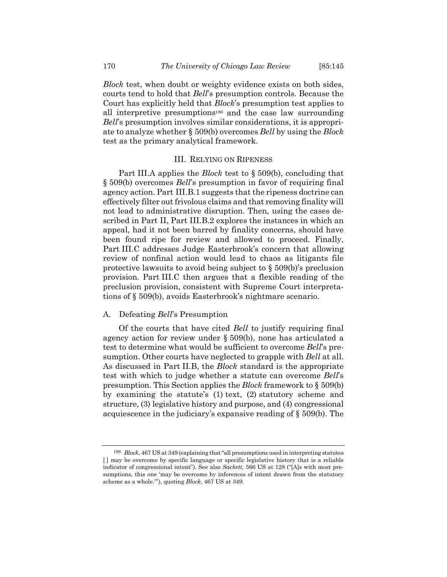*Block* test, when doubt or weighty evidence exists on both sides, courts tend to hold that *Bell*'s presumption controls. Because the Court has explicitly held that *Block*'s presumption test applies to all interpretive presumptions186 and the case law surrounding *Bell*'s presumption involves similar considerations, it is appropriate to analyze whether § 509(b) overcomes *Bell* by using the *Block* test as the primary analytical framework.

#### III. RELYING ON RIPENESS

Part III.A applies the *Block* test to § 509(b), concluding that § 509(b) overcomes *Bell*'s presumption in favor of requiring final agency action. Part III.B.1 suggests that the ripeness doctrine can effectively filter out frivolous claims and that removing finality will not lead to administrative disruption. Then, using the cases described in Part II, Part III.B.2 explores the instances in which an appeal, had it not been barred by finality concerns, should have been found ripe for review and allowed to proceed. Finally, Part III.C addresses Judge Easterbrook's concern that allowing review of nonfinal action would lead to chaos as litigants file protective lawsuits to avoid being subject to § 509(b)'s preclusion provision. Part III.C then argues that a flexible reading of the preclusion provision, consistent with Supreme Court interpretations of § 509(b), avoids Easterbrook's nightmare scenario.

## A. Defeating *Bell*'s Presumption

Of the courts that have cited *Bell* to justify requiring final agency action for review under § 509(b), none has articulated a test to determine what would be sufficient to overcome *Bell*'s presumption. Other courts have neglected to grapple with *Bell* at all. As discussed in Part II.B, the *Block* standard is the appropriate test with which to judge whether a statute can overcome *Bell*'s presumption. This Section applies the *Block* framework to § 509(b) by examining the statute's (1) text, (2) statutory scheme and structure, (3) legislative history and purpose, and (4) congressional acquiescence in the judiciary's expansive reading of § 509(b). The

<sup>186</sup> *Block*, 467 US at 349 (explaining that "all presumptions used in interpreting statutes [ ] may be overcome by specific language or specific legislative history that is a reliable indicator of congressional intent"). See also *Sackett*, 566 US at 128 ("[A]s with most presumptions, this one 'may be overcome by inferences of intent drawn from the statutory scheme as a whole.'"), quoting *Block*, 467 US at 349.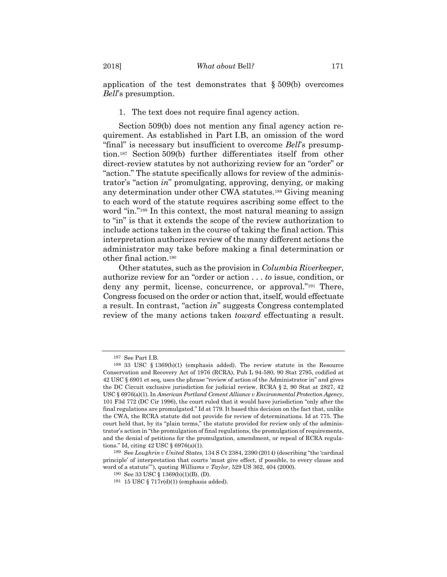application of the test demonstrates that § 509(b) overcomes *Bell*'s presumption.

1. The text does not require final agency action.

Section 509(b) does not mention any final agency action requirement. As established in Part I.B, an omission of the word "final" is necessary but insufficient to overcome *Bell*'s presumption.187 Section 509(b) further differentiates itself from other direct-review statutes by not authorizing review for an "order" or "action." The statute specifically allows for review of the administrator's "action *in*" promulgating, approving, denying, or making any determination under other CWA statutes.188 Giving meaning to each word of the statute requires ascribing some effect to the word "in."<sup>189</sup> In this context, the most natural meaning to assign to "in" is that it extends the scope of the review authorization to include actions taken in the course of taking the final action. This interpretation authorizes review of the many different actions the administrator may take before making a final determination or other final action.190

Other statutes, such as the provision in *Columbia Riverkeeper*, authorize review for an "order or action . . . *to* issue, condition, or deny any permit, license, concurrence, or approval."191 There, Congress focused on the order or action that, itself, would effectuate a result. In contrast, "action *in*" suggests Congress contemplated review of the many actions taken *toward* effectuating a result.

<sup>187</sup> See Part I.B.

<sup>188 33</sup> USC § 1369(b)(1) (emphasis added). The review statute in the Resource Conservation and Recovery Act of 1976 (RCRA), Pub L 94-580, 90 Stat 2795, codified at 42 USC § 6901 et seq, uses the phrase "review of action of the Administrator in" and gives the DC Circuit exclusive jurisdiction for judicial review. RCRA § 2, 90 Stat at 2827, 42 USC § 6976(a)(1). In *American Portland Cement Alliance v Environmental Protection Agency*, 101 F3d 772 (DC Cir 1996), the court ruled that it would have jurisdiction "only after the final regulations are promulgated." Id at 779. It based this decision on the fact that, unlike the CWA, the RCRA statute did not provide for review of determinations. Id at 775. The court held that, by its "plain terms," the statute provided for review only of the administrator's action in "the promulgation of final regulations, the promulgation of requirements, and the denial of petitions for the promulgation, amendment, or repeal of RCRA regulations." Id, citing 42 USC § 6976(a)(1).

<sup>189</sup> See *Loughrin v United States*, 134 S Ct 2384, 2390 (2014) (describing "the 'cardinal principle' of interpretation that courts 'must give effect, if possible, to every clause and word of a statute'"), quoting *Williams v Taylor*, 529 US 362, 404 (2000).

<sup>190</sup> See 33 USC § 1369(b)(1)(B), (D).

<sup>191 15</sup> USC § 717r(d)(1) (emphasis added).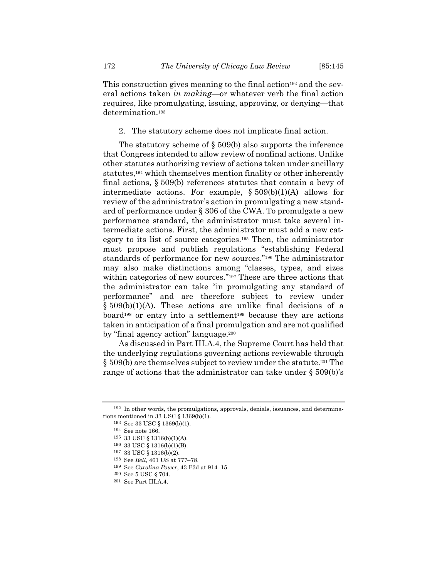This construction gives meaning to the final action<sup>192</sup> and the several actions taken *in making*—or whatever verb the final action requires, like promulgating, issuing, approving, or denying—that determination.<sup>193</sup>

2. The statutory scheme does not implicate final action.

The statutory scheme of  $\S 509(b)$  also supports the inference that Congress intended to allow review of nonfinal actions. Unlike other statutes authorizing review of actions taken under ancillary statutes,<sup>194</sup> which themselves mention finality or other inherently final actions, § 509(b) references statutes that contain a bevy of intermediate actions. For example, § 509(b)(1)(A) allows for review of the administrator's action in promulgating a new standard of performance under § 306 of the CWA. To promulgate a new performance standard, the administrator must take several intermediate actions. First, the administrator must add a new category to its list of source categories.195 Then, the administrator must propose and publish regulations "establishing Federal standards of performance for new sources."196 The administrator may also make distinctions among "classes, types, and sizes within categories of new sources."<sup>197</sup> These are three actions that the administrator can take "in promulgating any standard of performance" and are therefore subject to review under § 509(b)(1)(A). These actions are unlike final decisions of a board<sup>198</sup> or entry into a settlement<sup>199</sup> because they are actions taken in anticipation of a final promulgation and are not qualified by "final agency action" language.200

As discussed in Part III.A.4, the Supreme Court has held that the underlying regulations governing actions reviewable through  $\S 509(b)$  are themselves subject to review under the statute.<sup>201</sup> The range of actions that the administrator can take under § 509(b)'s

<sup>192</sup> In other words, the promulgations, approvals, denials, issuances, and determinations mentioned in 33 USC § 1369(b)(1).

<sup>193</sup> See 33 USC § 1369(b)(1).

<sup>194</sup> See note 166.

 $195 \quad 33 \text{ USC} \S \quad 1316(b)(1)(\text{A}).$   $196 \quad 33 \text{ USC} \S \quad 1316(b)(1)(\text{B}).$ 

<sup>197 33</sup> USC § 1316(b)(2).

<sup>198</sup> See *Bell*, 461 US at 777–78. 199 See *Carolina Power*, 43 F3d at 914–15.

<sup>200</sup> See 5 USC § 704.

<sup>201</sup> See Part III.A.4.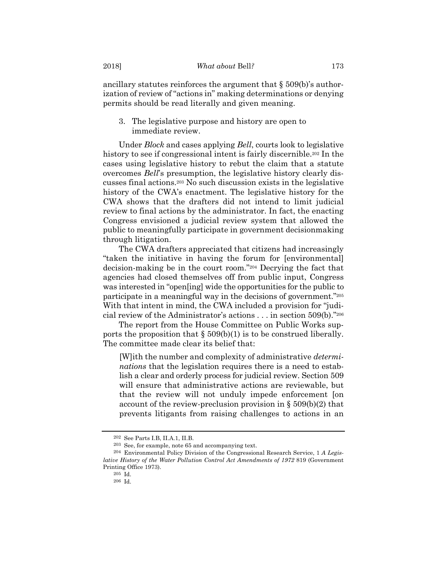ancillary statutes reinforces the argument that § 509(b)'s authorization of review of "actions in" making determinations or denying permits should be read literally and given meaning.

3. The legislative purpose and history are open to immediate review.

Under *Block* and cases applying *Bell*, courts look to legislative history to see if congressional intent is fairly discernible.202 In the cases using legislative history to rebut the claim that a statute overcomes *Bell*'s presumption, the legislative history clearly discusses final actions.203 No such discussion exists in the legislative history of the CWA's enactment. The legislative history for the CWA shows that the drafters did not intend to limit judicial review to final actions by the administrator. In fact, the enacting Congress envisioned a judicial review system that allowed the public to meaningfully participate in government decisionmaking through litigation.

The CWA drafters appreciated that citizens had increasingly "taken the initiative in having the forum for [environmental] decision-making be in the court room."204 Decrying the fact that agencies had closed themselves off from public input, Congress was interested in "open[ing] wide the opportunities for the public to participate in a meaningful way in the decisions of government."205 With that intent in mind, the CWA included a provision for "judicial review of the Administrator's actions . . . in section 509(b)."206

The report from the House Committee on Public Works supports the proposition that  $\S 509(b)(1)$  is to be construed liberally. The committee made clear its belief that:

[W]ith the number and complexity of administrative *determinations* that the legislation requires there is a need to establish a clear and orderly process for judicial review. Section 509 will ensure that administrative actions are reviewable, but that the review will not unduly impede enforcement [on account of the review-preclusion provision in  $\S 509(b)(2)$  that prevents litigants from raising challenges to actions in an

<sup>&</sup>lt;sup>202</sup> See Parts I.B, II.A.1, II.B.  $^{202}$  See, for example, note 65 and accompanying text.

<sup>204</sup> Environmental Policy Division of the Congressional Research Service, 1 *A Legislative History of the Water Pollution Control Act Amendments of 1972* 819 (Government Printing Office 1973).

<sup>205</sup> Id.

<sup>206</sup> Id.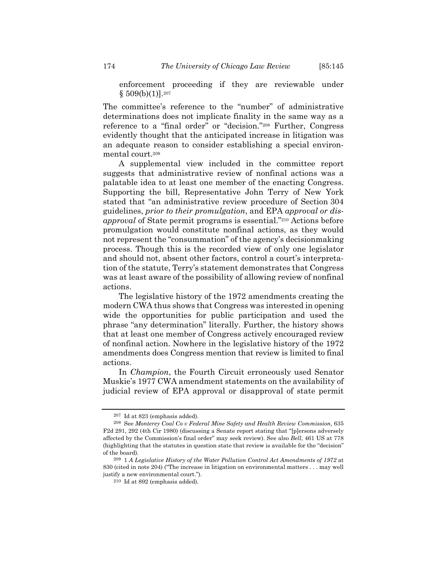enforcement proceeding if they are reviewable under  $§$  509(b)(1)].<sup>207</sup>

The committee's reference to the "number" of administrative determinations does not implicate finality in the same way as a reference to a "final order" or "decision."208 Further, Congress evidently thought that the anticipated increase in litigation was an adequate reason to consider establishing a special environmental court.209

A supplemental view included in the committee report suggests that administrative review of nonfinal actions was a palatable idea to at least one member of the enacting Congress. Supporting the bill, Representative John Terry of New York stated that "an administrative review procedure of Section 304 guidelines, *prior to their promulgation*, and EPA *approval or disapproval* of State permit programs is essential."210 Actions before promulgation would constitute nonfinal actions, as they would not represent the "consummation" of the agency's decisionmaking process. Though this is the recorded view of only one legislator and should not, absent other factors, control a court's interpretation of the statute, Terry's statement demonstrates that Congress was at least aware of the possibility of allowing review of nonfinal actions.

The legislative history of the 1972 amendments creating the modern CWA thus shows that Congress was interested in opening wide the opportunities for public participation and used the phrase "any determination" literally. Further, the history shows that at least one member of Congress actively encouraged review of nonfinal action. Nowhere in the legislative history of the 1972 amendments does Congress mention that review is limited to final actions.

In *Champion*, the Fourth Circuit erroneously used Senator Muskie's 1977 CWA amendment statements on the availability of judicial review of EPA approval or disapproval of state permit

<sup>207</sup> Id at 823 (emphasis added). 208 See *Monterey Coal Co v Federal Mine Safety and Health Review Commission*, 635 F2d 291, 292 (4th Cir 1980) (discussing a Senate report stating that "[p]ersons adversely affected by the Commission's final order" may seek review). See also *Bell*, 461 US at 778 (highlighting that the statutes in question state that review is available for the "decision" of the board).

<sup>209 1</sup> *A Legislative History of the Water Pollution Control Act Amendments of 1972* at 830 (cited in note 204) ("The increase in litigation on environmental matters . . . may well justify a new environmental court.").

<sup>210</sup> Id at 892 (emphasis added).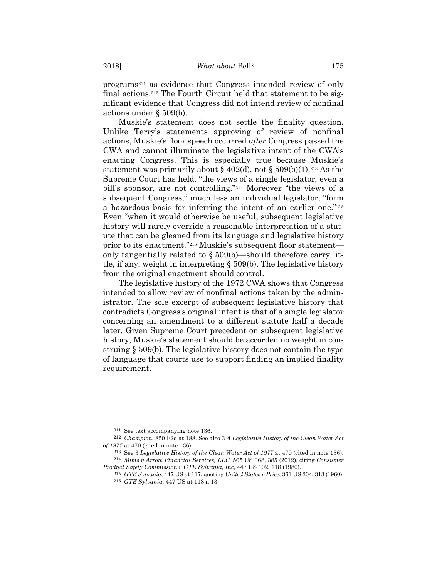programs211 as evidence that Congress intended review of only final actions.212 The Fourth Circuit held that statement to be significant evidence that Congress did not intend review of nonfinal actions under § 509(b).

Muskie's statement does not settle the finality question. Unlike Terry's statements approving of review of nonfinal actions, Muskie's floor speech occurred *after* Congress passed the CWA and cannot illuminate the legislative intent of the CWA's enacting Congress. This is especially true because Muskie's statement was primarily about  $\S 402(d)$ , not  $\S 509(b)(1)$ .<sup>213</sup> As the Supreme Court has held, "the views of a single legislator, even a bill's sponsor, are not controlling."214 Moreover "the views of a subsequent Congress," much less an individual legislator, "form a hazardous basis for inferring the intent of an earlier one."215 Even "when it would otherwise be useful, subsequent legislative history will rarely override a reasonable interpretation of a statute that can be gleaned from its language and legislative history prior to its enactment."216 Muskie's subsequent floor statement only tangentially related to § 509(b)—should therefore carry little, if any, weight in interpreting § 509(b). The legislative history from the original enactment should control.

The legislative history of the 1972 CWA shows that Congress intended to allow review of nonfinal actions taken by the administrator. The sole excerpt of subsequent legislative history that contradicts Congress's original intent is that of a single legislator concerning an amendment to a different statute half a decade later. Given Supreme Court precedent on subsequent legislative history, Muskie's statement should be accorded no weight in construing § 509(b). The legislative history does not contain the type of language that courts use to support finding an implied finality requirement.

<sup>211</sup> See text accompanying note 136.

<sup>212</sup> *Champion*, 850 F2d at 188. See also 3 *A Legislative History of the Clean Water Act of 1977* at 470 (cited in note 136).

<sup>213</sup> See 3 *Legislative History of the Clean Water Act of 1977* at 470 (cited in note 136). 214 *Mims v Arrow Financial Services, LLC*, 565 US 368, 385 (2012), citing *Consumer Product Safety Commission v GTE Sylvania, Inc*, 447 US 102, 118 (1980).

<sup>215</sup> *GTE Sylvania*, 447 US at 117, quoting *United States v Price*, 361 US 304, 313 (1960).

<sup>216</sup> *GTE Sylvania*, 447 US at 118 n 13.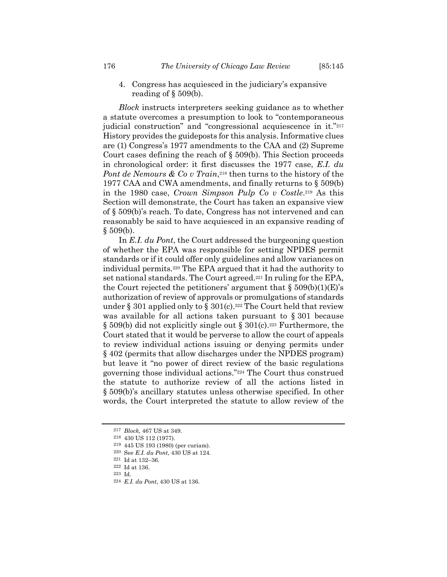4. Congress has acquiesced in the judiciary's expansive reading of  $\S$  509(b).

*Block* instructs interpreters seeking guidance as to whether a statute overcomes a presumption to look to "contemporaneous judicial construction" and "congressional acquiescence in it."<sup>217</sup> History provides the guideposts for this analysis. Informative clues are (1) Congress's 1977 amendments to the CAA and (2) Supreme Court cases defining the reach of § 509(b). This Section proceeds in chronological order: it first discusses the 1977 case, *E.I. du Pont de Nemours & Co v Train*,<sup>218</sup> then turns to the history of the 1977 CAA and CWA amendments, and finally returns to § 509(b) in the 1980 case, *Crown Simpson Pulp Co v Costle*.219 As this Section will demonstrate, the Court has taken an expansive view of § 509(b)'s reach. To date, Congress has not intervened and can reasonably be said to have acquiesced in an expansive reading of  $§ 509(b).$ 

In *E.I. du Pont*, the Court addressed the burgeoning question of whether the EPA was responsible for setting NPDES permit standards or if it could offer only guidelines and allow variances on individual permits.220 The EPA argued that it had the authority to set national standards. The Court agreed.221 In ruling for the EPA, the Court rejected the petitioners' argument that  $\S 509(b)(1)(E)$ 's authorization of review of approvals or promulgations of standards under § 301 applied only to § 301(c).<sup>222</sup> The Court held that review was available for all actions taken pursuant to § 301 because  $\S 509(b)$  did not explicitly single out  $\S 301(c)$ .<sup>223</sup> Furthermore, the Court stated that it would be perverse to allow the court of appeals to review individual actions issuing or denying permits under § 402 (permits that allow discharges under the NPDES program) but leave it "no power of direct review of the basic regulations governing those individual actions."224 The Court thus construed the statute to authorize review of all the actions listed in § 509(b)'s ancillary statutes unless otherwise specified. In other words, the Court interpreted the statute to allow review of the

224 *E.I. du Pont*, 430 US at 136.

<sup>217</sup> *Block,* 467 US at 349.

<sup>218 430</sup> US 112 (1977). 219 445 US 193 (1980) (per curiam).

 $^{220}\,$  See  $E.I.$   $du$   $Pont,$   $430$  US at  $124.$   $^{221}\,$  Id at  $132\text{--}36.$ 

 $^\mathrm{222}$  Id at 136.

<sup>223</sup> Id.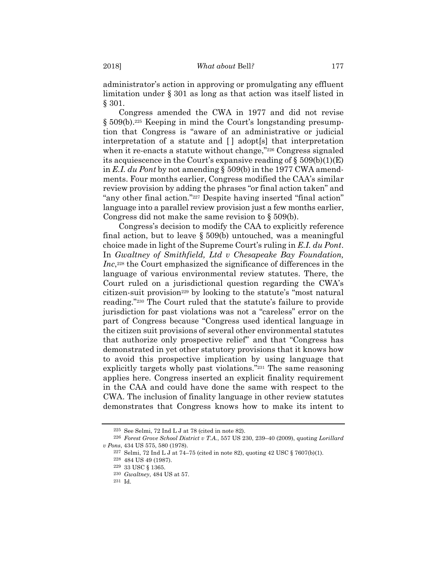administrator's action in approving or promulgating any effluent limitation under § 301 as long as that action was itself listed in § 301.

Congress amended the CWA in 1977 and did not revise § 509(b).225 Keeping in mind the Court's longstanding presumption that Congress is "aware of an administrative or judicial interpretation of a statute and [ ] adopt[s] that interpretation when it re-enacts a statute without change,"226 Congress signaled its acquiescence in the Court's expansive reading of  $\S 509(b)(1)(E)$ in *E.I. du Pont* by not amending § 509(b) in the 1977 CWA amendments. Four months earlier, Congress modified the CAA's similar review provision by adding the phrases "or final action taken" and "any other final action."227 Despite having inserted "final action" language into a parallel review provision just a few months earlier, Congress did not make the same revision to § 509(b).

Congress's decision to modify the CAA to explicitly reference final action, but to leave § 509(b) untouched, was a meaningful choice made in light of the Supreme Court's ruling in *E.I. du Pont*. In *Gwaltney of Smithfield, Ltd v Chesapeake Bay Foundation, Inc*,<sup>228</sup> the Court emphasized the significance of differences in the language of various environmental review statutes. There, the Court ruled on a jurisdictional question regarding the CWA's citizen-suit provision<sup>229</sup> by looking to the statute's "most natural reading."230 The Court ruled that the statute's failure to provide jurisdiction for past violations was not a "careless" error on the part of Congress because "Congress used identical language in the citizen suit provisions of several other environmental statutes that authorize only prospective relief" and that "Congress has demonstrated in yet other statutory provisions that it knows how to avoid this prospective implication by using language that explicitly targets wholly past violations."231 The same reasoning applies here. Congress inserted an explicit finality requirement in the CAA and could have done the same with respect to the CWA. The inclusion of finality language in other review statutes demonstrates that Congress knows how to make its intent to

<sup>225</sup> See Selmi, 72 Ind L J at 78 (cited in note 82).

<sup>226</sup> *Forest Grove School District v T.A.*, 557 US 230, 239–40 (2009), quoting *Lorillard v Pons*, 434 US 575, 580 (1978).

<sup>227</sup> Selmi, 72 Ind L J at 74–75 (cited in note 82), quoting 42 USC § 7607(b)(1).

 $^{228}$  484 US 49 (1987).  $^{229}$  33 USC § 1365.

<sup>230</sup> *Gwaltney*, 484 US at 57.

<sup>231</sup> Id.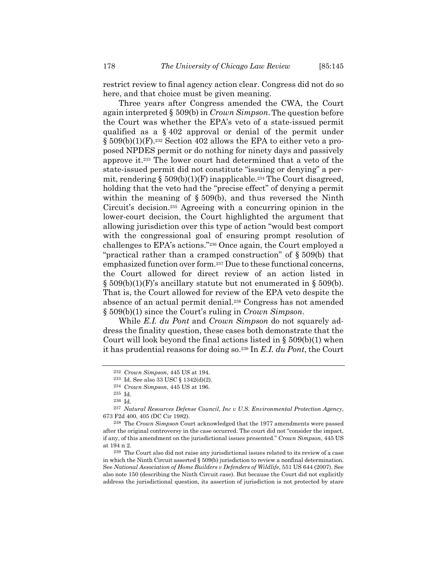restrict review to final agency action clear. Congress did not do so here, and that choice must be given meaning.

Three years after Congress amended the CWA, the Court again interpreted § 509(b) in *Crown Simpson*.The question before the Court was whether the EPA's veto of a state-issued permit qualified as a § 402 approval or denial of the permit under § 509(b)(1)(F).232 Section 402 allows the EPA to either veto a proposed NPDES permit or do nothing for ninety days and passively approve it.233 The lower court had determined that a veto of the state-issued permit did not constitute "issuing or denying" a permit, rendering  $\S 509(b)(1)(F)$  inapplicable.<sup>234</sup> The Court disagreed, holding that the veto had the "precise effect" of denying a permit within the meaning of  $\S 509(b)$ , and thus reversed the Ninth Circuit's decision.235 Agreeing with a concurring opinion in the lower-court decision, the Court highlighted the argument that allowing jurisdiction over this type of action "would best comport with the congressional goal of ensuring prompt resolution of challenges to EPA's actions."236 Once again, the Court employed a "practical rather than a cramped construction" of § 509(b) that emphasized function over form.237 Due to these functional concerns, the Court allowed for direct review of an action listed in  $\S$  509(b)(1)(F)'s ancillary statute but not enumerated in  $\S$  509(b). That is, the Court allowed for review of the EPA veto despite the absence of an actual permit denial.238 Congress has not amended § 509(b)(1) since the Court's ruling in *Crown Simpson*.

While *E.I. du Pont* and *Crown Simpson* do not squarely address the finality question, these cases both demonstrate that the Court will look beyond the final actions listed in § 509(b)(1) when it has prudential reasons for doing so.239 In *E.I. du Pont*, the Court

<sup>232</sup> *Crown Simpson*, 445 US at 194. 233 Id. See also 33 USC § 1342(d)(2).

<sup>234</sup> *Crown Simpson*, 445 US at 196.

<sup>235</sup> Id. 236 Id.

<sup>237</sup> *Natural Resources Defense Council, Inc v U.S. Environmental Protection Agency*, 673 F2d 400, 405 (DC Cir 1982).

<sup>238</sup> The *Crown Simpson* Court acknowledged that the 1977 amendments were passed after the original controversy in the case occurred. The court did not "consider the impact, if any, of this amendment on the jurisdictional issues presented." *Crown Simpson*, 445 US at 194 n 2.

<sup>239</sup> The Court also did not raise any jurisdictional issues related to its review of a case in which the Ninth Circuit asserted § 509(b) jurisdiction to review a nonfinal determination. See *National Association of Home Builders v Defenders of Wildlife*, 551 US 644 (2007). See also note 150 (describing the Ninth Circuit case). But because the Court did not explicitly address the jurisdictional question, its assertion of jurisdiction is not protected by stare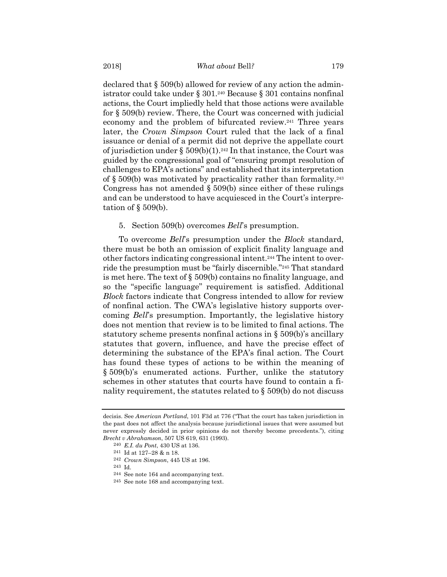declared that § 509(b) allowed for review of any action the administrator could take under  $\S 301.^{240}$  Because  $\S 301$  contains nonfinal actions, the Court impliedly held that those actions were available for § 509(b) review. There, the Court was concerned with judicial economy and the problem of bifurcated review.241 Three years later, the *Crown Simpson* Court ruled that the lack of a final issuance or denial of a permit did not deprive the appellate court of jurisdiction under  $\S 509(b)(1).$ <sup>242</sup> In that instance, the Court was guided by the congressional goal of "ensuring prompt resolution of challenges to EPA's actions" and established that its interpretation of  $\S 509(b)$  was motivated by practicality rather than formality.<sup>243</sup> Congress has not amended  $\S 509(b)$  since either of these rulings and can be understood to have acquiesced in the Court's interpretation of  $\S$  509(b).

#### 5. Section 509(b) overcomes *Bell*'s presumption.

To overcome *Bell*'s presumption under the *Block* standard, there must be both an omission of explicit finality language and other factors indicating congressional intent.244 The intent to override the presumption must be "fairly discernible."245 That standard is met here. The text of § 509(b) contains no finality language, and so the "specific language" requirement is satisfied. Additional *Block* factors indicate that Congress intended to allow for review of nonfinal action. The CWA's legislative history supports overcoming *Bell*'s presumption. Importantly, the legislative history does not mention that review is to be limited to final actions. The statutory scheme presents nonfinal actions in § 509(b)'s ancillary statutes that govern, influence, and have the precise effect of determining the substance of the EPA's final action. The Court has found these types of actions to be within the meaning of § 509(b)'s enumerated actions. Further, unlike the statutory schemes in other statutes that courts have found to contain a finality requirement, the statutes related to § 509(b) do not discuss

decisis. See *American Portland*, 101 F3d at 776 ("That the court has taken jurisdiction in the past does not affect the analysis because jurisdictional issues that were assumed but never expressly decided in prior opinions do not thereby become precedents."), citing *Brecht v Abrahamson*, 507 US 619, 631 (1993).

<sup>240</sup> *E.I. du Pont*, 430 US at 136.

<sup>241</sup> Id at 127–28 & n 18.

<sup>242</sup> *Crown Simpson*, 445 US at 196. 243 Id.

<sup>244</sup> See note 164 and accompanying text.

<sup>245</sup> See note 168 and accompanying text.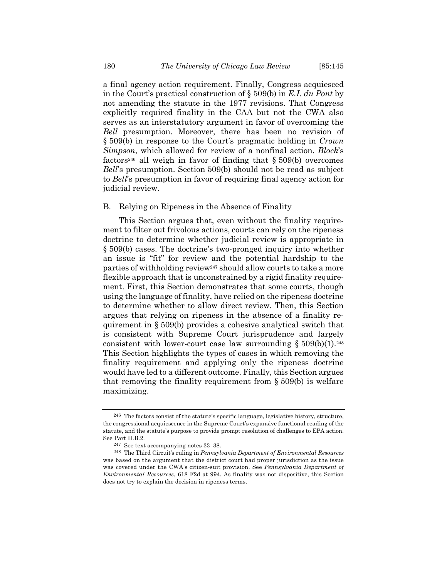a final agency action requirement. Finally, Congress acquiesced in the Court's practical construction of § 509(b) in *E.I. du Pont* by not amending the statute in the 1977 revisions. That Congress explicitly required finality in the CAA but not the CWA also serves as an interstatutory argument in favor of overcoming the *Bell* presumption. Moreover, there has been no revision of § 509(b) in response to the Court's pragmatic holding in *Crown Simpson*, which allowed for review of a nonfinal action. *Block*'s factors<sup>246</sup> all weigh in favor of finding that  $\S 509(b)$  overcomes *Bell*'s presumption. Section 509(b) should not be read as subject to *Bell*'s presumption in favor of requiring final agency action for judicial review.

#### B. Relying on Ripeness in the Absence of Finality

This Section argues that, even without the finality requirement to filter out frivolous actions, courts can rely on the ripeness doctrine to determine whether judicial review is appropriate in § 509(b) cases. The doctrine's two-pronged inquiry into whether an issue is "fit" for review and the potential hardship to the parties of withholding review247 should allow courts to take a more flexible approach that is unconstrained by a rigid finality requirement. First, this Section demonstrates that some courts, though using the language of finality, have relied on the ripeness doctrine to determine whether to allow direct review. Then, this Section argues that relying on ripeness in the absence of a finality requirement in § 509(b) provides a cohesive analytical switch that is consistent with Supreme Court jurisprudence and largely consistent with lower-court case law surrounding  $\S 509(b)(1).^{248}$ This Section highlights the types of cases in which removing the finality requirement and applying only the ripeness doctrine would have led to a different outcome. Finally, this Section argues that removing the finality requirement from  $\S 509(b)$  is welfare maximizing.

<sup>246</sup> The factors consist of the statute's specific language, legislative history, structure, the congressional acquiescence in the Supreme Court's expansive functional reading of the statute, and the statute's purpose to provide prompt resolution of challenges to EPA action. See Part II.B.2.

<sup>247</sup> See text accompanying notes 33–38.

<sup>248</sup> The Third Circuit's ruling in *Pennsylvania Department of Environmental Resources* was based on the argument that the district court had proper jurisdiction as the issue was covered under the CWA's citizen-suit provision. See *Pennsylvania Department of Environmental Resources*, 618 F2d at 994. As finality was not dispositive, this Section does not try to explain the decision in ripeness terms.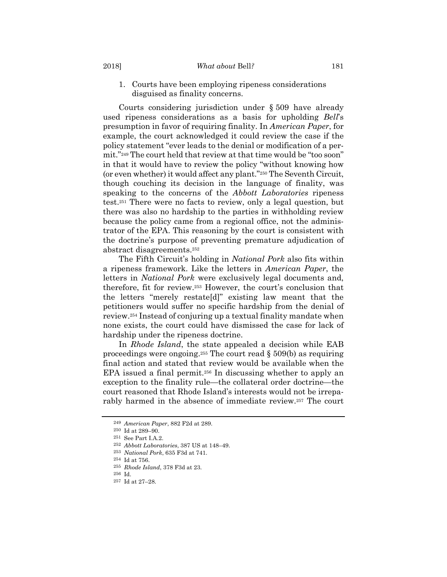#### 2018] *What about* Bell*?* 181

1. Courts have been employing ripeness considerations disguised as finality concerns.

Courts considering jurisdiction under § 509 have already used ripeness considerations as a basis for upholding *Bell*'s presumption in favor of requiring finality. In *American Paper*, for example, the court acknowledged it could review the case if the policy statement "ever leads to the denial or modification of a permit."249 The court held that review at that time would be "too soon" in that it would have to review the policy "without knowing how (or even whether) it would affect any plant."250 The Seventh Circuit, though couching its decision in the language of finality, was speaking to the concerns of the *Abbott Laboratories* ripeness test.251 There were no facts to review, only a legal question, but there was also no hardship to the parties in withholding review because the policy came from a regional office, not the administrator of the EPA. This reasoning by the court is consistent with the doctrine's purpose of preventing premature adjudication of abstract disagreements.252

The Fifth Circuit's holding in *National Pork* also fits within a ripeness framework. Like the letters in *American Paper*, the letters in *National Pork* were exclusively legal documents and, therefore, fit for review.253 However, the court's conclusion that the letters "merely restate[d]" existing law meant that the petitioners would suffer no specific hardship from the denial of review.254 Instead of conjuring up a textual finality mandate when none exists, the court could have dismissed the case for lack of hardship under the ripeness doctrine.

In *Rhode Island*, the state appealed a decision while EAB proceedings were ongoing.<sup>255</sup> The court read  $\S 509(b)$  as requiring final action and stated that review would be available when the EPA issued a final permit.<sup>256</sup> In discussing whether to apply an exception to the finality rule—the collateral order doctrine—the court reasoned that Rhode Island's interests would not be irreparably harmed in the absence of immediate review.257 The court

<sup>249</sup> *American Paper*, 882 F2d at 289.

<sup>250</sup> Id at 289–90.

<sup>251</sup> See Part I.A.2. 252 *Abbott Laboratories*, 387 US at 148–49.

<sup>253</sup> *National Pork*, 635 F3d at 741.

<sup>254</sup> Id at 756. 255 *Rhode Island*, 378 F3d at 23.

<sup>256</sup> Id.

<sup>257</sup> Id at 27–28.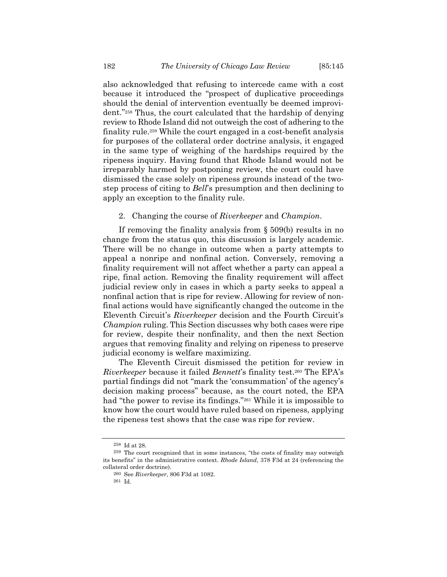also acknowledged that refusing to intercede came with a cost because it introduced the "prospect of duplicative proceedings should the denial of intervention eventually be deemed improvident."258 Thus, the court calculated that the hardship of denying review to Rhode Island did not outweigh the cost of adhering to the finality rule.259 While the court engaged in a cost-benefit analysis for purposes of the collateral order doctrine analysis, it engaged in the same type of weighing of the hardships required by the ripeness inquiry. Having found that Rhode Island would not be irreparably harmed by postponing review, the court could have dismissed the case solely on ripeness grounds instead of the twostep process of citing to *Bell*'s presumption and then declining to apply an exception to the finality rule.

#### 2. Changing the course of *Riverkeeper* and *Champion*.

If removing the finality analysis from § 509(b) results in no change from the status quo, this discussion is largely academic. There will be no change in outcome when a party attempts to appeal a nonripe and nonfinal action. Conversely, removing a finality requirement will not affect whether a party can appeal a ripe, final action. Removing the finality requirement will affect judicial review only in cases in which a party seeks to appeal a nonfinal action that is ripe for review. Allowing for review of nonfinal actions would have significantly changed the outcome in the Eleventh Circuit's *Riverkeeper* decision and the Fourth Circuit's *Champion* ruling. This Section discusses why both cases were ripe for review, despite their nonfinality, and then the next Section argues that removing finality and relying on ripeness to preserve judicial economy is welfare maximizing.

The Eleventh Circuit dismissed the petition for review in *Riverkeeper* because it failed *Bennett*'s finality test.260 The EPA's partial findings did not "mark the 'consummation' of the agency's decision making process" because, as the court noted, the EPA had "the power to revise its findings."<sup>261</sup> While it is impossible to know how the court would have ruled based on ripeness, applying the ripeness test shows that the case was ripe for review.

<sup>258</sup> Id at 28.

<sup>259</sup> The court recognized that in some instances, "the costs of finality may outweigh its benefits" in the administrative context. *Rhode Island*, 378 F3d at 24 (referencing the collateral order doctrine).

<sup>260</sup> See *Riverkeeper*, 806 F3d at 1082.

<sup>261</sup> Id.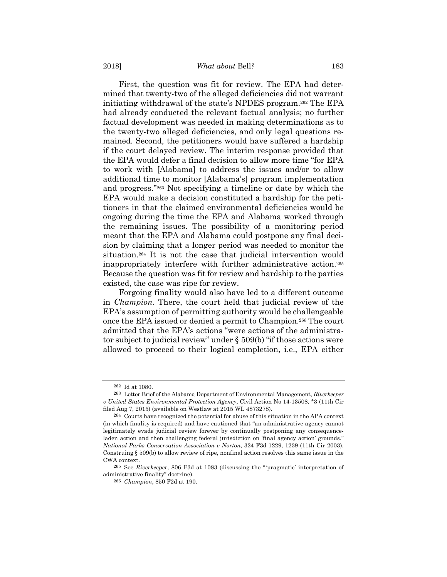#### 2018] *What about* Bell*?* 183

First, the question was fit for review. The EPA had determined that twenty-two of the alleged deficiencies did not warrant initiating withdrawal of the state's NPDES program.262 The EPA had already conducted the relevant factual analysis; no further factual development was needed in making determinations as to the twenty-two alleged deficiencies, and only legal questions remained. Second, the petitioners would have suffered a hardship if the court delayed review. The interim response provided that the EPA would defer a final decision to allow more time "for EPA to work with [Alabama] to address the issues and/or to allow additional time to monitor [Alabama's] program implementation and progress."263 Not specifying a timeline or date by which the EPA would make a decision constituted a hardship for the petitioners in that the claimed environmental deficiencies would be ongoing during the time the EPA and Alabama worked through the remaining issues. The possibility of a monitoring period meant that the EPA and Alabama could postpone any final decision by claiming that a longer period was needed to monitor the situation.264 It is not the case that judicial intervention would inappropriately interfere with further administrative action.265 Because the question was fit for review and hardship to the parties existed, the case was ripe for review.

Forgoing finality would also have led to a different outcome in *Champion*. There, the court held that judicial review of the EPA's assumption of permitting authority would be challengeable once the EPA issued or denied a permit to Champion.266 The court admitted that the EPA's actions "were actions of the administrator subject to judicial review" under § 509(b) "if those actions were allowed to proceed to their logical completion, i.e., EPA either

<sup>262</sup> Id at 1080.

<sup>263</sup> Letter Brief of the Alabama Department of Environmental Management, *Riverkeeper v United States Environmental Protection Agency*, Civil Action No 14-13508, \*3 (11th Cir filed Aug 7, 2015) (available on Westlaw at 2015 WL 4873278).

<sup>264</sup> Courts have recognized the potential for abuse of this situation in the APA context (in which finality is required) and have cautioned that "an administrative agency cannot legitimately evade judicial review forever by continually postponing any consequenceladen action and then challenging federal jurisdiction on 'final agency action' grounds." *National Parks Conservation Association v Norton*, 324 F3d 1229, 1239 (11th Cir 2003). Construing § 509(b) to allow review of ripe, nonfinal action resolves this same issue in the CWA context.

<sup>265</sup> See *Riverkeeper*, 806 F3d at 1083 (discussing the "'pragmatic' interpretation of administrative finality" doctrine).

<sup>266</sup> *Champion*, 850 F2d at 190.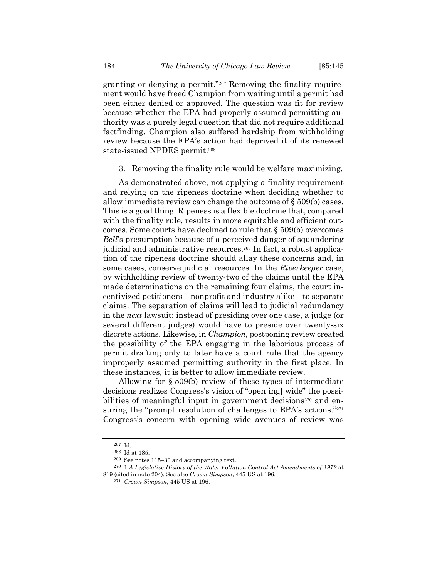granting or denying a permit."267 Removing the finality requirement would have freed Champion from waiting until a permit had been either denied or approved. The question was fit for review because whether the EPA had properly assumed permitting authority was a purely legal question that did not require additional factfinding. Champion also suffered hardship from withholding review because the EPA's action had deprived it of its renewed state-issued NPDES permit.<sup>268</sup>

3. Removing the finality rule would be welfare maximizing.

As demonstrated above, not applying a finality requirement and relying on the ripeness doctrine when deciding whether to allow immediate review can change the outcome of § 509(b) cases. This is a good thing. Ripeness is a flexible doctrine that, compared with the finality rule, results in more equitable and efficient outcomes. Some courts have declined to rule that § 509(b) overcomes *Bell*'s presumption because of a perceived danger of squandering judicial and administrative resources.269 In fact, a robust application of the ripeness doctrine should allay these concerns and, in some cases, conserve judicial resources. In the *Riverkeeper* case, by withholding review of twenty-two of the claims until the EPA made determinations on the remaining four claims, the court incentivized petitioners—nonprofit and industry alike—to separate claims. The separation of claims will lead to judicial redundancy in the *next* lawsuit; instead of presiding over one case, a judge (or several different judges) would have to preside over twenty-six discrete actions. Likewise, in *Champion*, postponing review created the possibility of the EPA engaging in the laborious process of permit drafting only to later have a court rule that the agency improperly assumed permitting authority in the first place. In these instances, it is better to allow immediate review.

Allowing for § 509(b) review of these types of intermediate decisions realizes Congress's vision of "open[ing] wide" the possibilities of meaningful input in government decisions<sup>270</sup> and ensuring the "prompt resolution of challenges to EPA's actions."<sup>271</sup> Congress's concern with opening wide avenues of review was

<sup>267</sup> Id.

<sup>268</sup> Id at 185.

<sup>&</sup>lt;sup>269</sup> See notes 115–30 and accompanying text.<br><sup>270</sup> 1 *A Legislative History of the Water Pollution Control Act Amendments of 1972* at 819 (cited in note 204). See also *Crown Simpson*, 445 US at 196.

<sup>271</sup> *Crown Simpson*, 445 US at 196.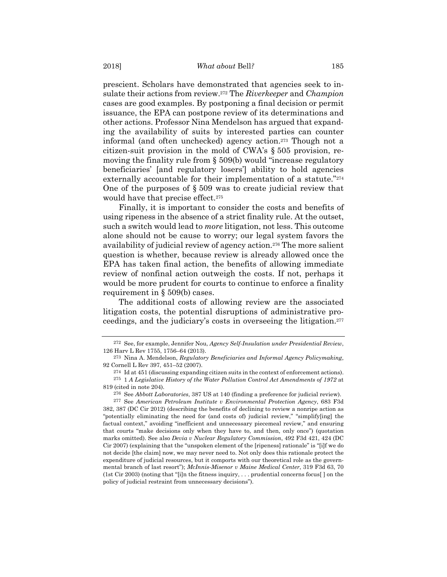prescient. Scholars have demonstrated that agencies seek to insulate their actions from review.272 The *Riverkeeper* and *Champion* cases are good examples. By postponing a final decision or permit issuance, the EPA can postpone review of its determinations and other actions. Professor Nina Mendelson has argued that expanding the availability of suits by interested parties can counter informal (and often unchecked) agency action.273 Though not a citizen-suit provision in the mold of CWA's § 505 provision, removing the finality rule from § 509(b) would "increase regulatory beneficiaries' [and regulatory losers'] ability to hold agencies externally accountable for their implementation of a statute."274 One of the purposes of § 509 was to create judicial review that would have that precise effect.<sup>275</sup>

Finally, it is important to consider the costs and benefits of using ripeness in the absence of a strict finality rule. At the outset, such a switch would lead to *more* litigation, not less. This outcome alone should not be cause to worry; our legal system favors the availability of judicial review of agency action.276 The more salient question is whether, because review is already allowed once the EPA has taken final action, the benefits of allowing immediate review of nonfinal action outweigh the costs. If not, perhaps it would be more prudent for courts to continue to enforce a finality requirement in § 509(b) cases.

The additional costs of allowing review are the associated litigation costs, the potential disruptions of administrative proceedings, and the judiciary's costs in overseeing the litigation.277

<sup>272</sup> See, for example, Jennifer Nou, *Agency Self-Insulation under Presidential Review*, 126 Harv L Rev 1755, 1756–64 (2013).

<sup>273</sup> Nina A. Mendelson, *Regulatory Beneficiaries and Informal Agency Policymaking*, 92 Cornell L Rev 397, 451–52 (2007).

<sup>274</sup> Id at 451 (discussing expanding citizen suits in the context of enforcement actions). 275 1 *A Legislative History of the Water Pollution Control Act Amendments of 1972* at 819 (cited in note 204).

<sup>276</sup> See *Abbott Laboratories*, 387 US at 140 (finding a preference for judicial review). 277 See *American Petroleum Institute v Environmental Protection Agency*, 683 F3d 382, 387 (DC Cir 2012) (describing the benefits of declining to review a nonripe action as "potentially eliminating the need for (and costs of) judicial review," "simplify[ing] the factual context," avoiding "inefficient and unnecessary piecemeal review," and ensuring that courts "make decisions only when they have to, and then, only once") (quotation marks omitted). See also *Devia v Nuclear Regulatory Commission*, 492 F3d 421, 424 (DC Cir 2007) (explaining that the "unspoken element of the [ripeness] rationale" is "[i]f we do not decide [the claim] now, we may never need to. Not only does this rationale protect the expenditure of judicial resources, but it comports with our theoretical role as the governmental branch of last resort"); *McInnis-Misenor v Maine Medical Center*, 319 F3d 63, 70 (1st Cir 2003) (noting that "[i]n the fitness inquiry, . . . prudential concerns focus[ ] on the policy of judicial restraint from unnecessary decisions").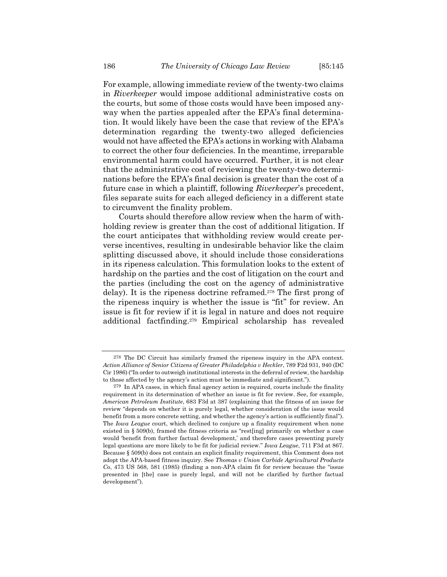For example, allowing immediate review of the twenty-two claims in *Riverkeeper* would impose additional administrative costs on the courts, but some of those costs would have been imposed anyway when the parties appealed after the EPA's final determination. It would likely have been the case that review of the EPA's determination regarding the twenty-two alleged deficiencies would not have affected the EPA's actions in working with Alabama to correct the other four deficiencies. In the meantime, irreparable environmental harm could have occurred. Further, it is not clear that the administrative cost of reviewing the twenty-two determinations before the EPA's final decision is greater than the cost of a future case in which a plaintiff, following *Riverkeeper*'s precedent, files separate suits for each alleged deficiency in a different state to circumvent the finality problem.

Courts should therefore allow review when the harm of withholding review is greater than the cost of additional litigation. If the court anticipates that withholding review would create perverse incentives, resulting in undesirable behavior like the claim splitting discussed above, it should include those considerations in its ripeness calculation. This formulation looks to the extent of hardship on the parties and the cost of litigation on the court and the parties (including the cost on the agency of administrative delay). It is the ripeness doctrine reframed.278 The first prong of the ripeness inquiry is whether the issue is "fit" for review. An issue is fit for review if it is legal in nature and does not require additional factfinding.279 Empirical scholarship has revealed

<sup>278</sup> The DC Circuit has similarly framed the ripeness inquiry in the APA context. *Action Alliance of Senior Citizens of Greater Philadelphia v Heckler*, 789 F2d 931, 940 (DC Cir 1986) ("In order to outweigh institutional interests in the deferral of review, the hardship to those affected by the agency's action must be immediate and significant.").

<sup>279</sup> In APA cases, in which final agency action is required, courts include the finality requirement in its determination of whether an issue is fit for review. See, for example, *American Petroleum Institute*, 683 F3d at 387 (explaining that the fitness of an issue for review "depends on whether it is purely legal, whether consideration of the issue would benefit from a more concrete setting, and whether the agency's action is sufficiently final"). The *Iowa League* court, which declined to conjure up a finality requirement when none existed in § 509(b), framed the fitness criteria as "rest[ing] primarily on whether a case would 'benefit from further factual development,' and therefore cases presenting purely legal questions are more likely to be fit for judicial review." *Iowa League*, 711 F3d at 867. Because § 509(b) does not contain an explicit finality requirement, this Comment does not adopt the APA-based fitness inquiry. See *Thomas v Union Carbide Agricultural Products Co*, 473 US 568, 581 (1985) (finding a non-APA claim fit for review because the "issue presented in [the] case is purely legal, and will not be clarified by further factual development").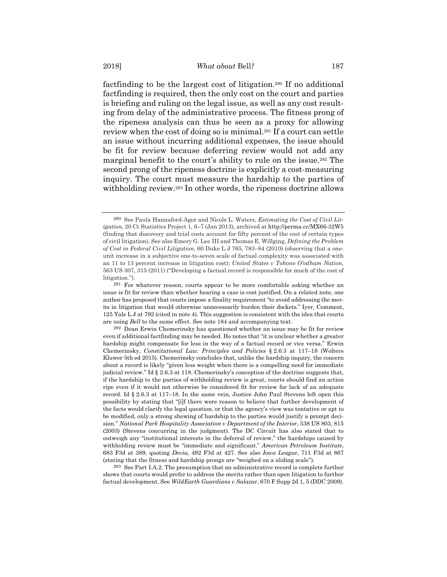factfinding to be the largest cost of litigation.280 If no additional factfinding is required, then the only cost on the court and parties is briefing and ruling on the legal issue, as well as any cost resulting from delay of the administrative process. The fitness prong of the ripeness analysis can thus be seen as a proxy for allowing review when the cost of doing so is minimal.281 If a court can settle an issue without incurring additional expenses, the issue should be fit for review because deferring review would not add any marginal benefit to the court's ability to rule on the issue.282 The second prong of the ripeness doctrine is explicitly a cost-measuring inquiry. The court must measure the hardship to the parties of withholding review.283 In other words, the ripeness doctrine allows

283 See Part I.A.2. The presumption that an administrative record is complete further shows that courts would prefer to address the merits rather than open litigation to further factual development. See *WildEarth Guardians v Salazar*, 670 F Supp 2d 1, 5 (DDC 2009).

<sup>280</sup> See Paula Hannaford-Agor and Nicole L. Waters, *Estimating the Cost of Civil Litigation*, 20 Ct Statistics Project 1, 6–7 (Jan 2013), archived at http://perma.cc/MX66-32W5 (finding that discovery and trial costs account for fifty percent of the cost of certain types of civil litigation). See also Emery G. Lee III and Thomas E. Willging, *Defining the Problem of Cost in Federal Civil Litigation*, 60 Duke L J 765, 783–84 (2010) (observing that a oneunit increase in a subjective one-to-seven scale of factual complexity was associated with an 11 to 13 percent increase in litigation cost); *United States v Tohono O'odham Nation*, 563 US 307, 315 (2011) ("Developing a factual record is responsible for much of the cost of litigation.").

<sup>281</sup> For whatever reason, courts appear to be more comfortable asking whether an issue is fit for review than whether hearing a case is cost justified. On a related note, one author has proposed that courts impose a finality requirement "to avoid addressing the merits in litigation that would otherwise unnecessarily burden their dockets." Iyer, Comment, 125 Yale L J at 792 (cited in note 4). This suggestion is consistent with the idea that courts are using *Bell* to the same effect. See note 184 and accompanying text.

<sup>282</sup> Dean Erwin Chemerinsky has questioned whether an issue may be fit for review even if additional factfinding may be needed. He notes that "it is unclear whether a greater hardship might compensate for less in the way of a factual record or vice versa." Erwin Chemerinsky, *Constitutional Law: Principles and Policies* § 2.6.3 at 117–18 (Wolters Kluwer 5th ed 2015). Chemerinsky concludes that, unlike the hardship inquiry, the concern about a record is likely "given less weight when there is a compelling need for immediate judicial review." Id § 2.6.3 at 118. Chemerinsky's conception of the doctrine suggests that, if the hardship to the parties of withholding review is great, courts should find an action ripe even if it would not otherwise be considered fit for review for lack of an adequate record. Id § 2.6.3 at 117–18. In the same vein, Justice John Paul Stevens left open this possibility by stating that "[i]f there were reason to believe that further development of the facts would clarify the legal question, or that the agency's view was tentative or apt to be modified, only a strong showing of hardship to the parties would justify a prompt decision." *National Park Hospitality Association v Department of the Interior*, 538 US 803, 815 (2003) (Stevens concurring in the judgment). The DC Circuit has also stated that to outweigh any "institutional interests in the deferral of review," the hardships caused by withholding review must be "immediate and significant." *American Petroleum Institute*, 683 F3d at 389, quoting *Devia*, 492 F3d at 427. See also *Iowa League*, 711 F3d at 867 (stating that the fitness and hardship prongs are "weighed on a sliding scale").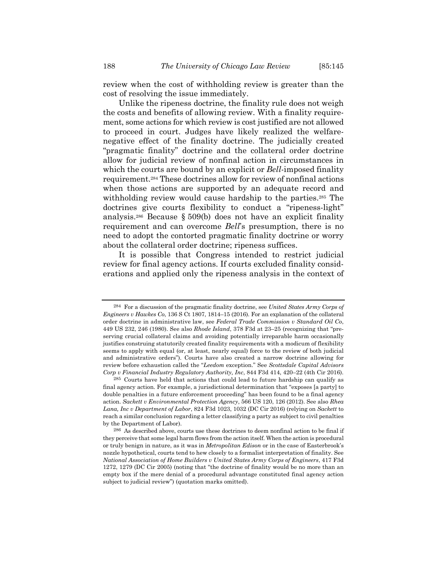review when the cost of withholding review is greater than the cost of resolving the issue immediately.

Unlike the ripeness doctrine, the finality rule does not weigh the costs and benefits of allowing review. With a finality requirement, some actions for which review is cost justified are not allowed to proceed in court. Judges have likely realized the welfarenegative effect of the finality doctrine. The judicially created "pragmatic finality" doctrine and the collateral order doctrine allow for judicial review of nonfinal action in circumstances in which the courts are bound by an explicit or *Bell*-imposed finality requirement.284 These doctrines allow for review of nonfinal actions when those actions are supported by an adequate record and withholding review would cause hardship to the parties.<sup>285</sup> The doctrines give courts flexibility to conduct a "ripeness-light" analysis.286 Because § 509(b) does not have an explicit finality requirement and can overcome *Bell*'s presumption, there is no need to adopt the contorted pragmatic finality doctrine or worry about the collateral order doctrine; ripeness suffices.

It is possible that Congress intended to restrict judicial review for final agency actions. If courts excluded finality considerations and applied only the ripeness analysis in the context of

<sup>284</sup> For a discussion of the pragmatic finality doctrine, see *United States Army Corps of Engineers v Hawkes Co*, 136 S Ct 1807, 1814–15 (2016). For an explanation of the collateral order doctrine in administrative law, see *Federal Trade Commission v Standard Oil Co*, 449 US 232, 246 (1980). See also *Rhode Island*, 378 F3d at 23–25 (recognizing that "preserving crucial collateral claims and avoiding potentially irreparable harm occasionally justifies construing statutorily created finality requirements with a modicum of flexibility seems to apply with equal (or, at least, nearly equal) force to the review of both judicial and administrative orders"). Courts have also created a narrow doctrine allowing for review before exhaustion called the "*Leedom* exception." See *Scottsdale Capital Advisors Corp v Financial Industry Regulatory Authority, Inc*, 844 F3d 414, 420–22 (4th Cir 2016).

<sup>285</sup> Courts have held that actions that could lead to future hardship can qualify as final agency action. For example, a jurisdictional determination that "exposes [a party] to double penalties in a future enforcement proceeding" has been found to be a final agency action. *Sackett v Environmental Protection Agency*, 566 US 120, 126 (2012). See also *Rhea Lana, Inc v Department of Labor*, 824 F3d 1023, 1032 (DC Cir 2016) (relying on *Sackett* to reach a similar conclusion regarding a letter classifying a party as subject to civil penalties by the Department of Labor).

<sup>286</sup> As described above, courts use these doctrines to deem nonfinal action to be final if they perceive that some legal harm flows from the action itself. When the action is procedural or truly benign in nature, as it was in *Metropolitan Edison* or in the case of Easterbrook's nozzle hypothetical, courts tend to hew closely to a formalist interpretation of finality. See *National Association of Home Builders v United States Army Corps of Engineers*, 417 F3d 1272, 1279 (DC Cir 2005) (noting that "the doctrine of finality would be no more than an empty box if the mere denial of a procedural advantage constituted final agency action subject to judicial review") (quotation marks omitted).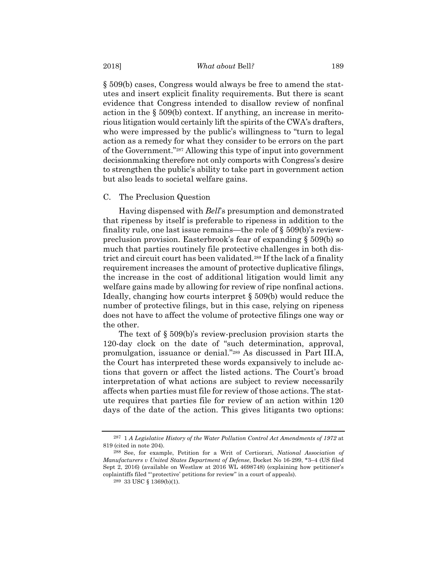§ 509(b) cases, Congress would always be free to amend the statutes and insert explicit finality requirements. But there is scant evidence that Congress intended to disallow review of nonfinal action in the § 509(b) context. If anything, an increase in meritorious litigation would certainly lift the spirits of the CWA's drafters, who were impressed by the public's willingness to "turn to legal action as a remedy for what they consider to be errors on the part of the Government."287 Allowing this type of input into government decisionmaking therefore not only comports with Congress's desire to strengthen the public's ability to take part in government action but also leads to societal welfare gains.

#### C. The Preclusion Question

Having dispensed with *Bell*'s presumption and demonstrated that ripeness by itself is preferable to ripeness in addition to the finality rule, one last issue remains—the role of § 509(b)'s reviewpreclusion provision. Easterbrook's fear of expanding § 509(b) so much that parties routinely file protective challenges in both district and circuit court has been validated.288 If the lack of a finality requirement increases the amount of protective duplicative filings, the increase in the cost of additional litigation would limit any welfare gains made by allowing for review of ripe nonfinal actions. Ideally, changing how courts interpret § 509(b) would reduce the number of protective filings, but in this case, relying on ripeness does not have to affect the volume of protective filings one way or the other.

The text of § 509(b)'s review-preclusion provision starts the 120-day clock on the date of "such determination, approval, promulgation, issuance or denial."289 As discussed in Part III.A, the Court has interpreted these words expansively to include actions that govern or affect the listed actions. The Court's broad interpretation of what actions are subject to review necessarily affects when parties must file for review of those actions. The statute requires that parties file for review of an action within 120 days of the date of the action. This gives litigants two options:

<sup>287 1</sup> *A Legislative History of the Water Pollution Control Act Amendments of 1972* at 819 (cited in note 204).

<sup>288</sup> See, for example, Petition for a Writ of Certiorari, *National Association of Manufacturers v United States Department of Defense*, Docket No 16-299, \*3–4 (US filed Sept 2, 2016) (available on Westlaw at 2016 WL 4698748) (explaining how petitioner's coplaintiffs filed "'protective' petitions for review" in a court of appeals).

 $^{289}$  33 USC  $\S$  1369(b)(1).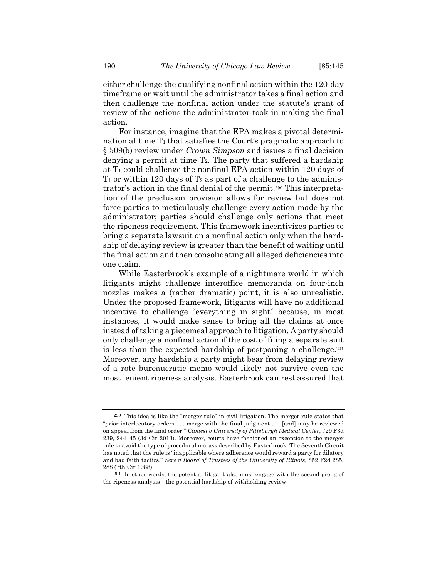either challenge the qualifying nonfinal action within the 120-day timeframe or wait until the administrator takes a final action and then challenge the nonfinal action under the statute's grant of review of the actions the administrator took in making the final action.

For instance, imagine that the EPA makes a pivotal determination at time  $T_1$  that satisfies the Court's pragmatic approach to § 509(b) review under *Crown Simpson* and issues a final decision denying a permit at time  $T_2$ . The party that suffered a hardship at  $T_1$  could challenge the nonfinal EPA action within 120 days of  $T_1$  or within 120 days of  $T_2$  as part of a challenge to the administrator's action in the final denial of the permit.290 This interpretation of the preclusion provision allows for review but does not force parties to meticulously challenge every action made by the administrator; parties should challenge only actions that meet the ripeness requirement. This framework incentivizes parties to bring a separate lawsuit on a nonfinal action only when the hardship of delaying review is greater than the benefit of waiting until the final action and then consolidating all alleged deficiencies into one claim.

While Easterbrook's example of a nightmare world in which litigants might challenge interoffice memoranda on four-inch nozzles makes a (rather dramatic) point, it is also unrealistic. Under the proposed framework, litigants will have no additional incentive to challenge "everything in sight" because, in most instances, it would make sense to bring all the claims at once instead of taking a piecemeal approach to litigation. A party should only challenge a nonfinal action if the cost of filing a separate suit is less than the expected hardship of postponing a challenge.291 Moreover, any hardship a party might bear from delaying review of a rote bureaucratic memo would likely not survive even the most lenient ripeness analysis. Easterbrook can rest assured that

<sup>290</sup> This idea is like the "merger rule" in civil litigation. The merger rule states that "prior interlocutory orders . . . merge with the final judgment . . . [and] may be reviewed on appeal from the final order." *Camesi v University of Pittsburgh Medical Center*, 729 F3d 239, 244–45 (3d Cir 2013). Moreover, courts have fashioned an exception to the merger rule to avoid the type of procedural morass described by Easterbrook. The Seventh Circuit has noted that the rule is "inapplicable where adherence would reward a party for dilatory and bad faith tactics." *Sere v Board of Trustees of the University of Illinois*, 852 F2d 285, 288 (7th Cir 1988).

<sup>291</sup> In other words, the potential litigant also must engage with the second prong of the ripeness analysis—the potential hardship of withholding review.